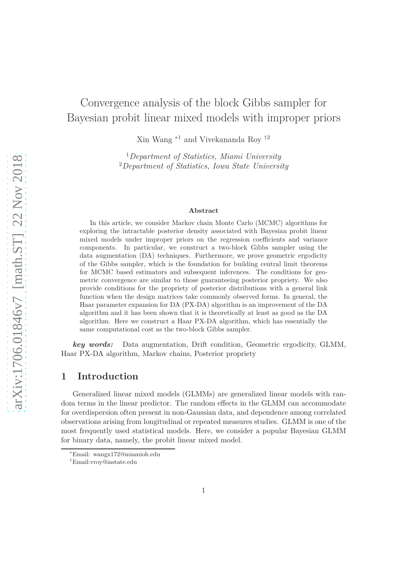# Convergence analysis of the block Gibbs sampler for Bayesian probit linear mixed models with improper priors

Xin Wang <sup>∗</sup><sup>1</sup> and Vivekananda Roy †<sup>2</sup>

<sup>1</sup>*Department of Statistics, Miami University* <sup>2</sup>*Department of Statistics, Iowa State University*

#### **Abstract**

In this article, we consider Markov chain Monte Carlo (MCMC) algorithms for exploring the intractable posterior density associated with Bayesian probit linear mixed models under improper priors on the regression coefficients and variance components. In particular, we construct a two-block Gibbs sampler using the data augmentation (DA) techniques. Furthermore, we prove geometric ergodicity of the Gibbs sampler, which is the foundation for building central limit theorems for MCMC based estimators and subsequent inferences. The conditions for geometric convergence are similar to those guaranteeing posterior propriety. We also provide conditions for the propriety of posterior distributions with a general link function when the design matrices take commonly observed forms. In general, the Haar parameter expansion for DA (PX-DA) algorithm is an improvement of the DA algorithm and it has been shown that it is theoretically at least as good as the DA algorithm. Here we construct a Haar PX-DA algorithm, which has essentially the same computational cost as the two-block Gibbs sampler.

*key words:* Data augmentation, Drift condition, Geometric ergodicity, GLMM, Haar PX-DA algorithm, Markov chains, Posterior propriety

### <span id="page-0-0"></span>**1 Introduction**

Generalized linear mixed models (GLMMs) are generalized linear models with random terms in the linear predictor. The random effects in the GLMM can accommodate for overdispersion often present in non-Gaussian data, and dependence among correlated observations arising from longitudinal or repeated measures studies. GLMM is one of the most frequently used statistical models. Here, we consider a popular Bayesian GLMM for binary data, namely, the probit linear mixed model.

<sup>∗</sup>Email: wangx172@miamioh.edu

<sup>†</sup>Email:vroy@iastate.edu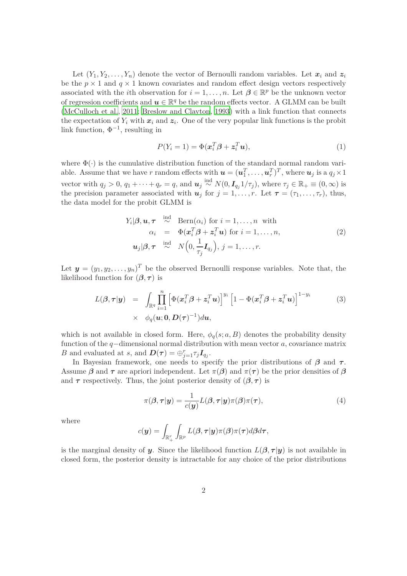Let  $(Y_1, Y_2, \ldots, Y_n)$  denote the vector of Bernoulli random variables. Let  $x_i$  and  $z_i$ be the  $p \times 1$  and  $q \times 1$  known covariates and random effect design vectors respectively associated with the *i*th observation for  $i = 1, ..., n$ . Let  $\beta \in \mathbb{R}^p$  be the unknown vector of regression coefficients and  $\boldsymbol{u} \in \mathbb{R}^q$  be the random effects vector. A GLMM can be built [\(McCulloch et al., 2011](#page-26-0); [Breslow and Clayton](#page-25-0), [1993\)](#page-25-0) with a link function that connects the expectation of  $Y_i$  with  $x_i$  and  $z_i$ . One of the very popular link functions is the probit link function,  $\Phi^{-1}$ , resulting in

<span id="page-1-2"></span>
$$
P(Y_i = 1) = \Phi(\mathbf{x}_i^T \boldsymbol{\beta} + \mathbf{z}_i^T \mathbf{u}),
$$
\n(1)

where  $\Phi(\cdot)$  is the cumulative distribution function of the standard normal random variable. Assume that we have *r* random effects with  $\mathbf{u} = (\mathbf{u}_1^T, \dots, \mathbf{u}_r^T)^T$ , where  $\mathbf{u}_j$  is a  $q_j \times 1$ vector with  $q_j > 0$ ,  $q_1 + \cdots + q_r = q$ , and  $u_j \stackrel{\text{ind}}{\sim} N(0, I_{q_j} 1/\tau_j)$ , where  $\tau_j \in \mathbb{R}_+ \equiv (0, \infty)$  is the precision parameter associated with  $u_j$  for  $j = 1, \ldots, r$ . Let  $\tau = (\tau_1, \ldots, \tau_r)$ , thus, the data model for the probit GLMM is

<span id="page-1-1"></span>
$$
Y_i|\boldsymbol{\beta}, \boldsymbol{u}, \boldsymbol{\tau} \stackrel{\text{ind}}{\sim} \text{Bern}(\alpha_i) \text{ for } i = 1, \dots, n \text{ with}
$$
  
\n
$$
\alpha_i = \Phi(\boldsymbol{x}_i^T \boldsymbol{\beta} + \boldsymbol{z}_i^T \boldsymbol{u}) \text{ for } i = 1, \dots, n,
$$
  
\n
$$
\boldsymbol{u}_j|\boldsymbol{\beta}, \boldsymbol{\tau} \stackrel{\text{ind}}{\sim} N\Big(0, \frac{1}{\tau_j} \boldsymbol{I}_{q_j}\Big), j = 1, \dots, r.
$$
\n(2)

Let  $y = (y_1, y_2, \dots, y_n)^T$  be the observed Bernoulli response variables. Note that, the likelihood function for  $(\beta, \tau)$  is

<span id="page-1-3"></span>
$$
L(\boldsymbol{\beta}, \boldsymbol{\tau}|\boldsymbol{y}) = \int_{\mathbb{R}^q} \prod_{i=1}^n \left[ \Phi(\boldsymbol{x}_i^T \boldsymbol{\beta} + \boldsymbol{z}_i^T \boldsymbol{u}) \right]^{y_i} \left[ 1 - \Phi(\boldsymbol{x}_i^T \boldsymbol{\beta} + \boldsymbol{z}_i^T \boldsymbol{u}) \right]^{1-y_i}
$$
(3)  
  $\times \phi_q(\boldsymbol{u}; \boldsymbol{0}, \boldsymbol{D}(\boldsymbol{\tau})^{-1}) d\boldsymbol{u},$ 

which is not available in closed form. Here,  $\phi_q(s; a, B)$  denotes the probability density function of the *q*−dimensional normal distribution with mean vector *a*, covariance matrix *B* and evaluated at *s*, and  $\boldsymbol{D}(\boldsymbol{\tau}) = \bigoplus_{j=1}^{r} \tau_j \boldsymbol{I}_{q_j}$ .

In Bayesian framework, one needs to specify the prior distributions of  $\beta$  and  $\tau$ . Assume  $\beta$  and  $\tau$  are apriori independent. Let  $\pi(\beta)$  and  $\pi(\tau)$  be the prior densities of  $\beta$ and  $\tau$  respectively. Thus, the joint posterior density of  $(\beta, \tau)$  is

<span id="page-1-0"></span>
$$
\pi(\boldsymbol{\beta}, \boldsymbol{\tau}|\mathbf{y}) = \frac{1}{c(\mathbf{y})} L(\boldsymbol{\beta}, \boldsymbol{\tau}|\mathbf{y}) \pi(\boldsymbol{\beta}) \pi(\boldsymbol{\tau}), \tag{4}
$$

where

$$
c(\boldsymbol{y}) = \int_{\mathbb{R}_+^r} \int_{\mathbb{R}^p} L(\boldsymbol{\beta},\boldsymbol{\tau}|\boldsymbol{y})\pi(\boldsymbol{\beta})\pi(\boldsymbol{\tau})d\boldsymbol{\beta}d\boldsymbol{\tau},
$$

is the marginal density of y. Since the likelihood function  $L(\beta, \tau | y)$  is not available in closed form, the posterior density is intractable for any choice of the prior distributions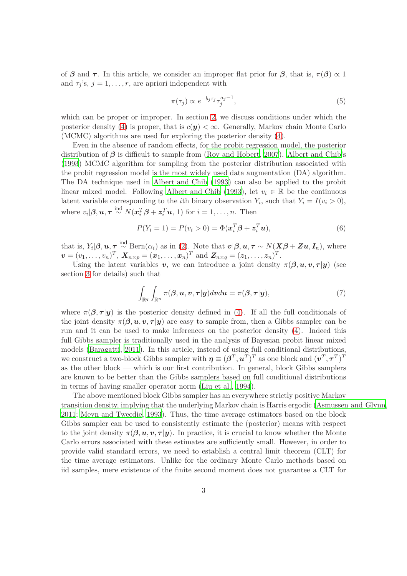of β and  $\tau$ . In this article, we consider an improper flat prior for β, that is,  $\pi(\beta) \propto 1$ and  $\tau_j$ 's,  $j = 1, \ldots, r$ , are apriori independent with

<span id="page-2-0"></span>
$$
\pi(\tau_j) \propto e^{-b_j \tau_j} \tau_j^{a_j - 1},\tag{5}
$$

which can be proper or improper. In section [2,](#page-3-0) we discuss conditions under which the posterior density [\(4\)](#page-1-0) is proper, that is  $c(y) < \infty$ . Generally, Markov chain Monte Carlo (MCMC) algorithms are used for exploring the posterior density [\(4\)](#page-1-0).

Even in the absence of random effects, for the probit regression model, the posterior distribution of  $\beta$  is difficult to sample from [\(Roy and Hobert](#page-27-0), [2007\)](#page-27-0). [Albert and Chib'](#page-25-1)s [\(1993](#page-25-1)) MCMC algorithm for sampling from the posterior distribution associated with the probit regression model is the most widely used data augmentation (DA) algorithm. The DA technique used in [Albert and Chib \(1993](#page-25-1)) can also be applied to the probit linear mixed model. Following [Albert and Chib \(1993\)](#page-25-1), let  $v_i \in \mathbb{R}$  be the continuous latent variable corresponding to the *i*th binary observation  $Y_i$ , such that  $Y_i = I(v_i > 0)$ , where  $v_i | \beta, u, \tau \stackrel{\text{ind}}{\sim} N(x_i^T \beta + z_i^T u, 1)$  for  $i = 1, \ldots, n$ . Then

<span id="page-2-1"></span>
$$
P(Y_i = 1) = P(v_i > 0) = \Phi(\mathbf{x}_i^T \mathbf{\beta} + \mathbf{z}_i^T \mathbf{u}),
$$
\n(6)

that is,  $Y_i|\boldsymbol{\beta}, \boldsymbol{u}, \boldsymbol{\tau} \stackrel{\text{ind}}{\sim} \text{Bern}(\alpha_i)$  as in [\(2\)](#page-1-1). Note that  $\boldsymbol{v}|\boldsymbol{\beta}, \boldsymbol{u}, \boldsymbol{\tau} \sim N(\boldsymbol{X}\boldsymbol{\beta} + \boldsymbol{Z}\boldsymbol{u}, \boldsymbol{I}_n)$ , where  $v = (v_1, \ldots, v_n)^T$ ,  $\mathbf{X}_{n \times p} = (\mathbf{x}_1, \ldots, \mathbf{x}_n)^T$  and  $\mathbf{Z}_{n \times q} = (\mathbf{z}_1, \ldots, \mathbf{z}_n)^T$ .

Using the latent variables v, we can introduce a joint density  $\pi(\beta, u, v, \tau | y)$  (see section [3](#page-6-0) for details) such that

<span id="page-2-2"></span>
$$
\int_{\mathbb{R}^q} \int_{\mathbb{R}^n} \pi(\boldsymbol{\beta}, \boldsymbol{u}, \boldsymbol{v}, \boldsymbol{\tau} | \boldsymbol{y}) d\boldsymbol{v} d\boldsymbol{u} = \pi(\boldsymbol{\beta}, \boldsymbol{\tau} | \boldsymbol{y}),\tag{7}
$$

where  $\pi(\beta, \tau | y)$  is the posterior density defined in [\(4\)](#page-1-0). If all the full conditionals of the joint density  $\pi(\beta, u, v, \tau | y)$  are easy to sample from, then a Gibbs sampler can be run and it can be used to make inferences on the posterior density [\(4\)](#page-1-0). Indeed this full Gibbs sampler is traditionally used in the analysis of Bayesian probit linear mixed models [\(Baragatti](#page-25-2), [2011](#page-25-2)). In this article, instead of using full conditional distributions, we construct a two-block Gibbs sampler with  $\boldsymbol{\eta} \equiv (\boldsymbol{\beta}^T, \boldsymbol{u}^T)^T$  as one block and  $(\boldsymbol{v}^T, \boldsymbol{\tau}^T)^T$ as the other block — which is our first contribution. In general, block Gibbs samplers are known to be better than the Gibbs samplers based on full conditional distributions in terms of having smaller operator norm [\(Liu et al.](#page-26-1), [1994](#page-26-1)).

The above mentioned block Gibbs sampler has an everywhere strictly positive Markov transition density, implying that the underlying Markov chain is Harris ergodic [\(Asmussen and Glynn,](#page-25-3) [2011](#page-25-3); [Meyn and Tweedie](#page-26-2), [1993](#page-26-2)). Thus, the time average estimators based on the block Gibbs sampler can be used to consistently estimate the (posterior) means with respect to the joint density  $\pi(\beta, u, v, \tau | y)$ . In practice, it is crucial to know whether the Monte Carlo errors associated with these estimates are sufficiently small. However, in order to provide valid standard errors, we need to establish a central limit theorem (CLT) for the time average estimators. Unlike for the ordinary Monte Carlo methods based on iid samples, mere existence of the finite second moment does not guarantee a CLT for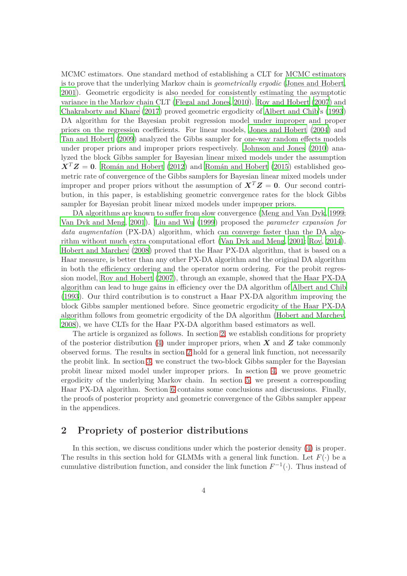MCMC estimators. One standard method of establishing a CLT for MCMC estimators is to prove that the underlying Markov chain is *geometrically ergodic* [\(Jones and Hobert,](#page-26-3) [2001](#page-26-3)). Geometric ergodicity is also needed for consistently estimating the asymptotic variance in the Markov chain CLT [\(Flegal and Jones](#page-26-4), [2010](#page-26-4)). [Roy and Hobert \(2007](#page-27-0)) and [Chakraborty and Khare \(2017](#page-26-5)) proved geometric ergodicity of [Albert and Chib](#page-25-1)'s [\(1993](#page-25-1)) DA algorithm for the Bayesian probit regression model under improper and proper priors on the regression coefficients. For linear models, [Jones and Hobert \(2004](#page-26-6)) and [Tan and Hobert \(2009](#page-27-1)) analyzed the Gibbs sampler for one-way random effects models under proper priors and improper priors respectively. [Johnson and Jones \(2010](#page-26-7)) analyzed the block Gibbs sampler for Bayesian linear mixed models under the assumption  $X<sup>T</sup>Z = 0$ . Román and Hobert (2012) and Román and Hobert (2015) established geometric rate of convergence of the Gibbs samplers for Bayesian linear mixed models under improper and proper priors without the assumption of  $X^T Z = 0$ . Our second contribution, in this paper, is establishing geometric convergence rates for the block Gibbs sampler for Bayesian probit linear mixed models under improper priors.

DA algorithms are known to suffer from slow convergence (Meng [and Van Dyk](#page-26-8), [1999;](#page-26-8) [Van Dyk and Meng, 2001](#page-27-4)). [Liu and Wu \(1999](#page-26-9)) proposed the *parameter expansion for* data augmentation (PX-DA) algorithm, which can converge faster than the DA algorithm without much extra computational effort [\(Van Dyk and Meng](#page-27-4), [2001](#page-27-4); [Roy](#page-27-5), [2014](#page-27-5)). [Hobert and Marchev \(2008\)](#page-26-10) proved that the Haar PX-DA algorithm, that is based on a Haar measure, is better than any other PX-DA algorithm and the original DA algorithm in both the efficiency ordering and the operator norm ordering. For the probit regression model, [Roy and Hobert \(2007](#page-27-0)), through an example, showed that the Haar PX-DA algorithm can lead to huge gains in efficiency over the DA algorithm of [Albert and Chib](#page-25-1) [\(1993](#page-25-1)). Our third contribution is to construct a Haar PX-DA algorithm improving the block Gibbs sampler mentioned before. Since geometric ergodicity of the Haar PX-DA algorithm follows from geometric ergodicity of the DA algorithm [\(Hobert and Marchev,](#page-26-10) [2008](#page-26-10)), we have CLTs for the Haar PX-DA algorithm based estimators as well.

The article is organized as follows. In section [2,](#page-3-0) we establish conditions for propriety of the posterior distribution [\(4\)](#page-1-0) under improper priors, when  $X$  and  $Z$  take commonly observed forms. The results in section [2](#page-3-0) hold for a general link function, not necessarily the probit link. In section [3,](#page-6-0) we construct the two-block Gibbs sampler for the Bayesian probit linear mixed model under improper priors. In section [4,](#page-7-0) we prove geometric ergodicity of the underlying Markov chain. In section [5,](#page-9-0) we present a corresponding Haar PX-DA algorithm. Section [6](#page-11-0) contains some conclusions and discussions. Finally, the proofs of posterior propriety and geometric convergence of the Gibbs sampler appear in the appendices.

# <span id="page-3-0"></span>**2 Propriety of posterior distributions**

In this section, we discuss conditions under which the posterior density [\(4\)](#page-1-0) is proper. The results in this section hold for GLMMs with a general link function. Let  $F(\cdot)$  be a cumulative distribution function, and consider the link function  $F^{-1}(\cdot)$ . Thus instead of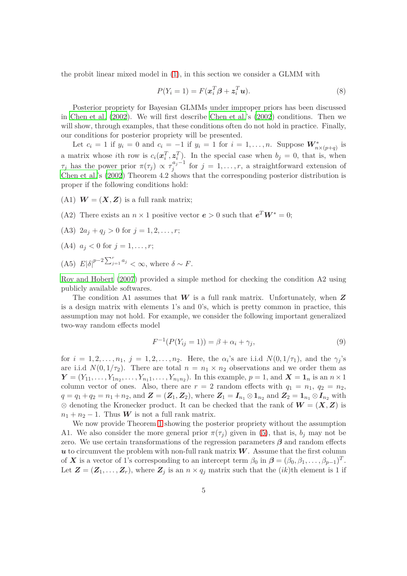the probit linear mixed model in [\(1\)](#page-1-2), in this section we consider a GLMM with

<span id="page-4-1"></span>
$$
P(Y_i = 1) = F(\mathbf{x}_i^T \boldsymbol{\beta} + \mathbf{z}_i^T \mathbf{u}).
$$
\n(8)

Posterior propriety for Bayesian GLMMs under improper priors has been discussed in [Chen et al. \(2002\)](#page-26-11). We will first describe [Chen et al.'](#page-26-11)s [\(2002](#page-26-11)) conditions. Then we will show, through examples, that these conditions often do not hold in practice. Finally, our conditions for posterior propriety will be presented.

Let  $c_i = 1$  if  $y_i = 0$  and  $c_i = -1$  if  $y_i = 1$  for  $i = 1, \ldots, n$ . Suppose  $W^*_{n \times (p+q)}$  is a matrix whose *i*th row is  $c_i(x_i^T, z_i^T)$ . In the special case when  $b_j = 0$ , that is, when *τ*<sub>*j*</sub> has the power prior  $\pi(\tau_j) \propto \tau_j^{a_j-1}$  $j_j^{u_j-1}$  for  $j = 1, \ldots, r$ , a straightforward extension of [Chen et al.'](#page-26-11)s [\(2002\)](#page-26-11) Theorem 4.2 shows that the corresponding posterior distribution is proper if the following conditions hold:

- (A1)  $W = (X, Z)$  is a full rank matrix;
- (A2) There exists an  $n \times 1$  positive vector  $e > 0$  such that  $e^T W^* = 0$ ;
- (A3)  $2a_j + q_j > 0$  for  $j = 1, 2, \ldots, r$ ;
- (A4)  $a_j < 0$  for  $j = 1, \ldots, r;$
- (A5)  $E|\delta|^{p-2}\sum_{j=1}^r a_j < \infty$ , where  $\delta \sim F$ .

[Roy and Hobert \(2007](#page-27-0)) provided a simple method for checking the condition A2 using publicly available softwares.

The condition A1 assumes that  $W$  is a full rank matrix. Unfortunately, when  $Z$ is a design matrix with elements 1's and 0's, which is pretty common in practice, this assumption may not hold. For example, we consider the following important generalized two-way random effects model

<span id="page-4-0"></span>
$$
F^{-1}(P(Y_{ij} = 1)) = \beta + \alpha_i + \gamma_j,
$$
\n(9)

for  $i = 1, 2, \ldots, n_1, j = 1, 2, \ldots, n_2$ . Here, the  $\alpha_i$ 's are i.i.d  $N(0, 1/\tau_1)$ , and the  $\gamma_j$ 's are i.i.d  $N(0, 1/\tau_2)$ . There are total  $n = n_1 \times n_2$  observations and we order them as  $\mathbf{Y} = (Y_{11}, \ldots, Y_{1n_2}, \ldots, Y_{n_11}, \ldots, Y_{n_1n_2})$ . In this example,  $p = 1$ , and  $\mathbf{X} = \mathbf{1}_n$  is an  $n \times 1$ column vector of ones. Also, there are  $r = 2$  random effects with  $q_1 = n_1$ ,  $q_2 = n_2$ ,  $q = q_1 + q_2 = n_1 + n_2$ , and  $\mathbf{Z} = (\mathbf{Z}_1, \mathbf{Z}_2)$ , where  $\mathbf{Z}_1 = \mathbf{I}_{n_1} \otimes \mathbf{1}_{n_2}$  and  $\mathbf{Z}_2 = \mathbf{1}_{n_1} \otimes \mathbf{I}_{n_2}$  with ⊗ denoting the Kronecker product. It can be checked that the rank of  $W = (X, Z)$  is  $n_1 + n_2 - 1$ . Thus **W** is not a full rank matrix.

We now provide Theorem [1](#page-5-0) showing the posterior propriety without the assumption A1. We also consider the more general prior  $\pi(\tau_i)$  given in [\(5\)](#page-2-0), that is,  $b_i$  may not be zero. We use certain transformations of the regression parameters  $\beta$  and random effects  $u$  to circumvent the problem with non-full rank matrix  $W$ . Assume that the first column of X is a vector of 1's corresponding to an intercept term  $\beta_0$  in  $\boldsymbol{\beta} = (\beta_0, \beta_1, \dots, \beta_{p-1})^T$ . Let  $\mathbf{Z} = (\mathbf{Z}_1, \ldots, \mathbf{Z}_r)$ , where  $\mathbf{Z}_j$  is an  $n \times q_j$  matrix such that the  $(ik)$ th element is 1 if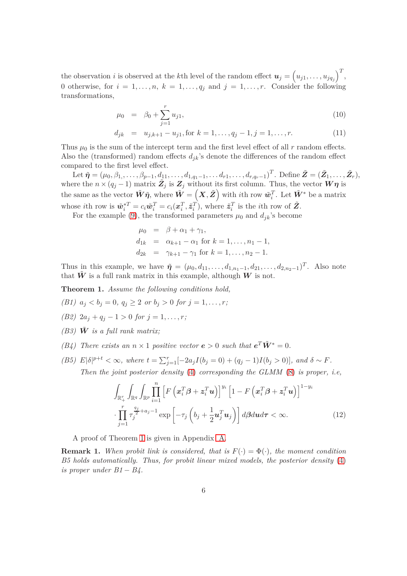the observation *i* is observed at the *k*th level of the random effect  $u_j = (u_{j1}, \ldots, u_{jq_j})^T$ , 0 otherwise, for  $i = 1, \ldots, n$ ,  $k = 1, \ldots, q_j$  and  $j = 1, \ldots, r$ . Consider the following transformations,

$$
\mu_0 = \beta_0 + \sum_{j=1}^r u_{j1},\tag{10}
$$

 $d_{ik} = u_{i,k+1} - u_{i1}$ , for  $k = 1, \ldots, q_i - 1, j = 1, \ldots, r$ . (11)

Thus  $\mu_0$  is the sum of the intercept term and the first level effect of all  $r$  random effects. Also the (transformed) random effects  $d_{jk}$ 's denote the differences of the random effect compared to the first level effect.

Let  $\tilde{\boldsymbol{\eta}} = (\mu_0, \beta_1, \dots, \beta_{p-1}, d_{11}, \dots, d_{1,q_1-1}, \dots d_{r1}, \dots, d_{r,q_r-1})^T$ . Define  $\tilde{\boldsymbol{Z}} = (\tilde{\boldsymbol{Z}}_1, \dots, \tilde{\boldsymbol{Z}}_r),$ where the  $n \times (q_j - 1)$  matrix  $\tilde{Z}_j$  is  $Z_j$  without its first column. Thus, the vector  $W\eta$  is the same as the vector  $\tilde{W}\tilde{\eta}$ , where  $\tilde{W} = \left( X,\tilde{Z} \right)$  with *i*th row  $\tilde{w}_i^T$ . Let  $\tilde{W}^*$  be a matrix whose *i*th row is  $\tilde{\mathbf{w}}_i^{*T} = c_i \tilde{\mathbf{w}}_i^T = c_i(\mathbf{x}_i^T, \tilde{\mathbf{z}}_i^T)$ , where  $\tilde{\mathbf{z}}_i^T$  is the *i*th row of  $\tilde{\mathbf{Z}}$ .

For the example [\(9\)](#page-4-0), the transformed parameters  $\mu_0$  and  $d_{jk}$ 's become

$$
\mu_0 = \beta + \alpha_1 + \gamma_1,\nd_{1k} = \alpha_{k+1} - \alpha_1 \text{ for } k = 1, ..., n_1 - 1,\nd_{2k} = \gamma_{k+1} - \gamma_1 \text{ for } k = 1, ..., n_2 - 1.
$$

Thus in this example, we have  $\tilde{\eta} = (\mu_0, d_{11}, \dots, d_{1,n_1-1}, d_{21}, \dots, d_{2,n_2-1})^T$ . Also note that  $\hat{W}$  is a full rank matrix in this example, although  $W$  is not.

<span id="page-5-0"></span>**Theorem 1.** *Assume the following conditions hold,*

*(B1)*  $a_j < b_j = 0$ ,  $q_i \geq 2$  *or*  $b_j > 0$  *for*  $j = 1, ..., r$ ;

- *(B2)*  $2a_j + q_j 1 > 0$  *for*  $j = 1, ..., r$ ;
- *(B3)*  $\tilde{W}$  *is a full rank matrix;*
- *(B4)* There exists an  $n \times 1$  *positive vector*  $\mathbf{e} > 0$  *such that*  $\mathbf{e}^T \tilde{\mathbf{W}}^* = 0$ *.*
- (B5)  $E|\delta|^{p+t} < \infty$ , where  $t = \sum_{j=1}^r [-2a_jI(b_j = 0) + (q_j 1)I(b_j > 0)]$ , and  $\delta \sim F$ . *Then the joint posterior density* [\(4\)](#page-1-0) *corresponding the GLMM* [\(8\)](#page-4-1) *is proper, i.e,*

<span id="page-5-1"></span>
$$
\int_{\mathbb{R}_+^r} \int_{\mathbb{R}^q} \int_{\mathbb{R}^p} \prod_{i=1}^n \left[ F\left( \boldsymbol{x}_i^T \boldsymbol{\beta} + \boldsymbol{z}_i^T \boldsymbol{u} \right) \right]^{y_i} \left[ 1 - F\left( \boldsymbol{x}_i^T \boldsymbol{\beta} + \boldsymbol{z}_i^T \boldsymbol{u} \right) \right]^{1-y_i} \cdot \prod_{j=1}^r \tau_j^{\frac{q_j}{2} + a_j - 1} \exp\left[ -\tau_j \left( b_j + \frac{1}{2} \boldsymbol{u}_j^T \boldsymbol{u}_j \right) \right] d\boldsymbol{\beta} d\boldsymbol{u} d\boldsymbol{\tau} < \infty.
$$
\n(12)

A proof of Theorem [1](#page-5-0) is given in Appendix [A.](#page-11-1)

**Remark 1.** When probit link is considered, that is  $F(\cdot) = \Phi(\cdot)$ , the moment condition *B5 holds automatically. Thus, for probit linear mixed models, the posterior density* [\(4\)](#page-1-0) *is proper under B1*  $- B4$ .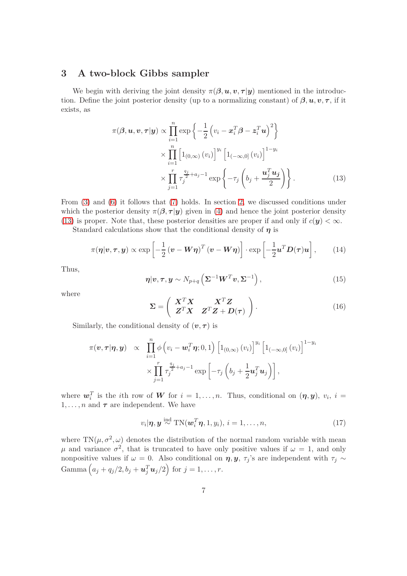# <span id="page-6-0"></span>**3 A two-block Gibbs sampler**

We begin with deriving the joint density  $\pi(\beta, u, v, \tau | y)$  mentioned in the introduction. Define the joint posterior density (up to a normalizing constant) of  $\beta, u, v, \tau$ , if it exists, as

$$
\pi(\boldsymbol{\beta}, \boldsymbol{u}, \boldsymbol{v}, \boldsymbol{\tau} | \boldsymbol{y}) \propto \prod_{i=1}^{n} \exp \left\{ -\frac{1}{2} \left( v_i - \boldsymbol{x}_i^T \boldsymbol{\beta} - \boldsymbol{z}_i^T \boldsymbol{u} \right)^2 \right\}
$$

$$
\times \prod_{i=1}^{n} \left[ 1_{(0,\infty)} (v_i) \right]^{y_i} \left[ 1_{(-\infty,0]} (v_i) \right]^{1-y_i}
$$

$$
\times \prod_{j=1}^{r} \tau_j^{\frac{q_j}{2} + a_j - 1} \exp \left\{ -\tau_j \left( b_j + \frac{\boldsymbol{u}_j^T \boldsymbol{u}_j}{2} \right) \right\}.
$$
(13)

From [\(3\)](#page-1-3) and [\(6\)](#page-2-1) it follows that [\(7\)](#page-2-2) holds. In section [2,](#page-3-0) we discussed conditions under which the posterior density  $\pi(\beta, \tau | y)$  given in [\(4\)](#page-1-0) and hence the joint posterior density [\(13\)](#page-6-1) is proper. Note that, these posterior densities are proper if and only if  $c(y) < \infty$ .

Standard calculations show that the conditional density of  $\eta$  is

$$
\pi(\boldsymbol{\eta}|\boldsymbol{v},\boldsymbol{\tau},\boldsymbol{y}) \propto \exp\left[-\frac{1}{2}(\boldsymbol{v}-\boldsymbol{W}\boldsymbol{\eta})^T(\boldsymbol{v}-\boldsymbol{W}\boldsymbol{\eta})\right] \cdot \exp\left[-\frac{1}{2}\boldsymbol{u}^T\boldsymbol{D}(\boldsymbol{\tau})\boldsymbol{u}\right],\qquad(14)
$$

Thus,

<span id="page-6-3"></span><span id="page-6-1"></span>
$$
\boldsymbol{\eta}|\boldsymbol{v},\boldsymbol{\tau},\boldsymbol{y}\sim N_{p+q}\left(\boldsymbol{\Sigma}^{-1}\boldsymbol{W}^{T}\boldsymbol{v},\boldsymbol{\Sigma}^{-1}\right),\qquad(15)
$$

where

<span id="page-6-2"></span>
$$
\Sigma = \left(\begin{array}{cc} X^T X & X^T Z \\ Z^T X & Z^T Z + D(\tau) \end{array}\right). \tag{16}
$$

Similarly, the conditional density of  $(v, \tau)$  is

$$
\pi(\boldsymbol{v}, \boldsymbol{\tau} | \boldsymbol{\eta}, \boldsymbol{y}) \propto \prod_{i=1}^{n} \phi\left(v_i - \boldsymbol{w}_i^T \boldsymbol{\eta}; 0, 1\right) \left[1_{(0,\infty)}(v_i)\right]^{y_i} \left[1_{(-\infty,0]}(v_i)\right]^{1-y_i} \times \prod_{j=1}^{r} \tau_j^{\frac{q_j}{2}+a_j-1} \exp\left[-\tau_j\left(b_j+\frac{1}{2}\boldsymbol{u}_j^T \boldsymbol{u}_j\right)\right],
$$

where  $w_i^T$  is the *i*th row of W for  $i = 1, \ldots, n$ . Thus, conditional on  $(\eta, y)$ ,  $v_i$ ,  $i =$  $1, \ldots, n$  and  $\tau$  are independent. We have

$$
v_i|\boldsymbol{\eta},\boldsymbol{y} \stackrel{\text{ind}}{\sim} \text{TN}(\boldsymbol{w}_i^T\boldsymbol{\eta},1,y_i),\, i=1,\ldots,n,\tag{17}
$$

where  $TN(\mu, \sigma^2, \omega)$  denotes the distribution of the normal random variable with mean *μ* and variance  $σ^2$ , that is truncated to have only positive values if  $ω = 1$ , and only nonpositive values if  $\omega = 0$ . Also conditional on  $\eta, y, \tau_j$ 's are independent with  $\tau_j \sim$  $\text{Gamma}\left(a_j+q_j/2,b_j+\boldsymbol{u}_j^T\boldsymbol{u}_j/2\right) \text{ for } j=1,\ldots,r.$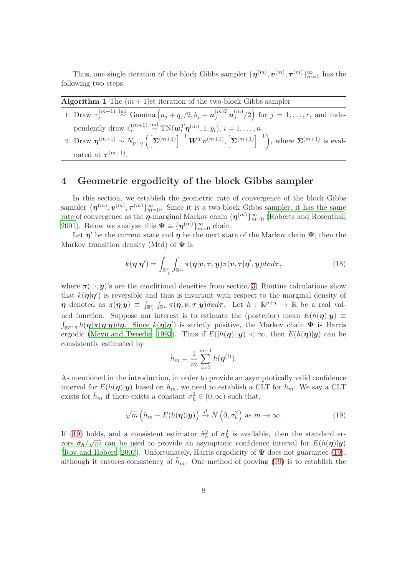Thus, one single iteration of the block Gibbs sampler  $\{\boldsymbol{\eta}^{(m)}, \boldsymbol{v}^{(m)}, \boldsymbol{\tau}^{(m)}\}_{m=0}^{\infty}$  has the following two steps:

<span id="page-7-3"></span>

| <b>Algorithm 1</b> The $(m + 1)$ st iteration of the two-block Gibbs sampler                                                                                                |
|-----------------------------------------------------------------------------------------------------------------------------------------------------------------------------|
| 1: Draw $\tau_j^{(m+1)} \stackrel{\text{ind}}{\sim} \text{Gamma}\left(a_j + q_j/2, b_j + \mathbf{u}_j^{(m)T}\mathbf{u}_j^{(m)}/2\right)$ for $j = 1, \ldots, r$ , and inde- |
| $m \sim 1$ and $m \sim (m+1)$ ind $\text{TM}(m, T_{\infty}(m), 1, \ldots)$ is the set                                                                                       |

| pendently draw $v_i^{(m+1)} \stackrel{\text{ind}}{\sim} \text{TN}(\boldsymbol{w}_i^T \boldsymbol{\eta}^{(m)}, 1, y_i), i = 1, \ldots, n.$                                 |  |
|---------------------------------------------------------------------------------------------------------------------------------------------------------------------------|--|
| 2: Draw $\eta^{(m+1)} \sim N_{p+q} \left( \left[ \Sigma^{(m+1)} \right]^{-1} W^T v^{(m+1)}, \left[ \Sigma^{(m+1)} \right]^{-1} \right)$ , where $\Sigma^{(m+1)}$ is eval- |  |
| uated at $\tau^{(m+1)}$ .                                                                                                                                                 |  |

# <span id="page-7-0"></span>**4 Geometric ergodicity of the block Gibbs sampler**

In this section, we establish the geometric rate of convergence of the block Gibbs sampler  $\{\boldsymbol{\eta}^{(m)}, \boldsymbol{v}^{(m)}, \boldsymbol{\tau}^{(m)}\}_{m=0}^{\infty}$ . Since it is a two-block Gibbs sampler, it has the same rate of convergence as the  $\eta$ -marginal Markov chain  $\{\eta^{(m)}\}_{m=0}^{\infty}$  [\(Roberts and Rosenthal,](#page-27-6) [2001](#page-27-6)). Below we analyze this  $\Psi \equiv {\{\eta^{(m)}\}}_{m=0}^{\infty}$  chain.

Let  $\eta'$  be the current state and  $\eta$  be the next state of the Markov chain  $\Psi$ , then the Markov transition density (Mtd) of  $\Psi$  is

<span id="page-7-2"></span>
$$
k(\boldsymbol{\eta}|\boldsymbol{\eta}') = \int_{\mathbb{R}_+^r} \int_{\mathbb{R}^n} \pi(\boldsymbol{\eta}|\boldsymbol{v}, \boldsymbol{\tau}, \boldsymbol{y}) \pi(\boldsymbol{v}, \boldsymbol{\tau}|\boldsymbol{\eta}', \boldsymbol{y}) d\boldsymbol{v} d\boldsymbol{\tau},
$$
\n(18)

where  $\pi(\cdot|\cdot,y)$ 's are the conditional densities from section [3.](#page-6-0) Routine calculations show that  $k(\eta|\eta')$  is reversible and thus is invariant with respect to the marginal density of  $\eta$  denoted as  $\pi(\eta|\mathbf{y}) \equiv \int_{\mathbb{R}_+^r} \int_{\mathbb{R}^n} \pi(\eta, \mathbf{v}, \tau | \mathbf{y}) d\mathbf{v} d\tau$ . Let  $h : \mathbb{R}^{p+q} \mapsto \mathbb{R}$  be a real valued function. Suppose our interest is to estimate the (posterior) mean  $E(h(\eta)|y) \equiv$  $\int_{\mathbb{R}^{p+q}} h(\eta) \pi(\eta | y) d\eta$ . Since  $k(\eta | \eta')$  is strictly positive, the Markov chain  $\Psi$  is Harris ergodic [\(Meyn and Tweedie, 1993](#page-26-2)). Thus if  $E(|h(\eta)||y) < \infty$ , then  $E(h(\eta)||y)$  can be consistently estimated by

$$
\bar{h}_m = \frac{1}{m} \sum_{i=0}^{m-1} h(\pmb{\eta}^{(i)}).
$$

As mentioned in the introduction, in order to provide an asymptotically valid confidence interval for  $E(h(\eta)|y)$  based on  $\bar{h}_m$ , we need to establish a CLT for  $\bar{h}_m$ . We say a CLT exists for  $\bar{h}_m$  if there exists a constant  $\sigma_h^2 \in (0, \infty)$  such that,

<span id="page-7-1"></span>
$$
\sqrt{m}\left(\bar{h}_m - E(h(\boldsymbol{\eta})|\mathbf{y})\right) \stackrel{d}{\to} N\left(0, \sigma_h^2\right) \text{ as } m \to \infty. \tag{19}
$$

If [\(19\)](#page-7-1) holds, and a consistent estimator  $\hat{\sigma}_h^2$  of  $\sigma_h^2$  is available, then the standard errors  $\hat{\sigma}_h/\sqrt{m}$  can be used to provide an asymptotic confidence interval for  $E(h(\boldsymbol{\eta})|\mathbf{y})$ [\(Roy and Hobert, 2007](#page-27-0)). Unfortunately, Harris ergodicity of  $\Psi$  does not guarantee [\(19\)](#page-7-1), although it ensures consistency of  $h_m$ . One method of proving [\(19\)](#page-7-1) is to establish the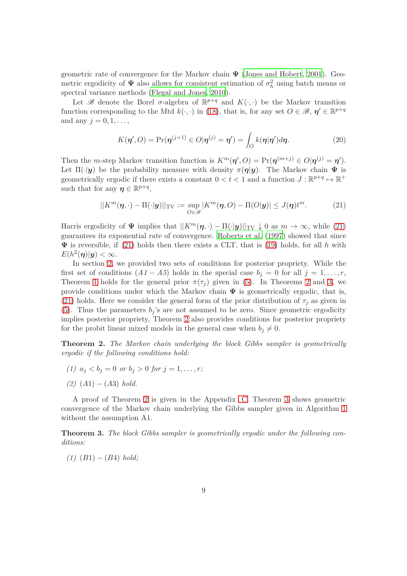geometric rate of convergence for the Markov chain  $\Psi$  [\(Jones and Hobert](#page-26-3), [2001\)](#page-26-3). Geometric ergodicity of  $\Psi$  also allows for consistent estimation of  $\sigma_h^2$  using batch means or spectral variance methods [\(Flegal and Jones](#page-26-4), [2010\)](#page-26-4).

Let  $\mathscr{B}$  denote the Borel  $\sigma$ -algebra of  $\mathbb{R}^{p+q}$  and  $K(\cdot, \cdot)$  be the Markov transition function corresponding to the Mtd  $k(\cdot, \cdot)$  in [\(18\)](#page-7-2), that is, for any set  $O \in \mathcal{B}$ ,  $\eta' \in \mathbb{R}^{p+q}$ and any  $j = 0, 1, \ldots$ ,

$$
K(\boldsymbol{\eta}', O) = \Pr(\boldsymbol{\eta}^{(j+1)} \in O | \boldsymbol{\eta}^{(j)} = \boldsymbol{\eta}') = \int_{O} k(\boldsymbol{\eta} | \boldsymbol{\eta}') d\boldsymbol{\eta}.
$$
 (20)

Then the *m*-step Markov transition function is  $K^m(\eta', O) = Pr(\eta^{(m+j)} \in O|\eta^{(j)} = \eta').$ Let  $\Pi(\cdot|\mathbf{y})$  be the probability measure with density  $\pi(\eta|\mathbf{y})$ . The Markov chain  $\Psi$  is geometrically ergodic if there exists a constant  $0 < t < 1$  and a function  $J : \mathbb{R}^{p+q} \mapsto \mathbb{R}^+$ such that for any  $\boldsymbol{\eta} \in \mathbb{R}^{p+q}$ ,

<span id="page-8-0"></span>
$$
||K^m(\boldsymbol{\eta}, \cdot) - \Pi(\cdot|\mathbf{y})||_{\text{TV}} := \sup_{O \in \mathcal{B}} |K^m(\boldsymbol{\eta}, O) - \Pi(O|\mathbf{y})| \le J(\boldsymbol{\eta}) t^m. \tag{21}
$$

Harris ergodicity of  $\Psi$  implies that  $||K^m(\eta, \cdot) - \Pi(\cdot|\mathbf{y})||_{TV} \downarrow 0$  as  $m \to \infty$ , while [\(21\)](#page-8-0) guarantees its exponential rate of convergence. [Roberts et](#page-27-7) al. [\(1997](#page-27-7)) showed that since  $\Psi$  is reversible, if [\(21\)](#page-8-0) holds then there exists a CLT, that is [\(19\)](#page-7-1) holds, for all h with  $E(h^2(\boldsymbol{\eta})|\boldsymbol{y}) < \infty.$ 

In section [2,](#page-3-0) we provided two sets of conditions for posterior propriety. While the first set of conditions  $(A1 - A5)$  holds in the special case  $b_j = 0$  for all  $j = 1, \ldots, r$ , Theorem [1](#page-5-0) holds for the general prior  $\pi(\tau_i)$  given in [\(5\)](#page-2-0). In Theorems [2](#page-8-1) and [3,](#page-8-2) we provide conditions under which the Markov chain  $\Psi$  is geometrically ergodic, that is, [\(21\)](#page-8-0) holds. Here we consider the general form of the prior distribution of  $\tau_i$  as given in [\(5\)](#page-2-0). Thus the parameters  $b_i$ 's are not assumed to be zero. Since geometric ergodicity implies posterior propriety, Theorem [2](#page-8-1) also provides conditions for posterior propriety for the probit linear mixed models in the general case when  $b_j \neq 0$ .

<span id="page-8-1"></span>**Theorem 2.** *The Markov chain underlying the block Gibbs sampler is geometrically ergodic if the following conditions hold:*

- *(1)*  $a_j < b_j = 0$  *or*  $b_j > 0$  *for*  $j = 1, \ldots, r$ ;
- *(2)* (*A*1) − (*A*3) *hold.*

A proof of Theorem [2](#page-8-1) is given in the Appendix [C.](#page-16-0) Theorem [3](#page-8-2) shows geometric convergence of the Markov chain underlying the Gibbs sampler given in Algorithm [1](#page-7-3) without the assumption A1.

<span id="page-8-2"></span>**Theorem 3.** *The block Gibbs sampler is geometrically ergodic under the following conditions:*

*(1)* (*B*1) − (*B*4) *hold;*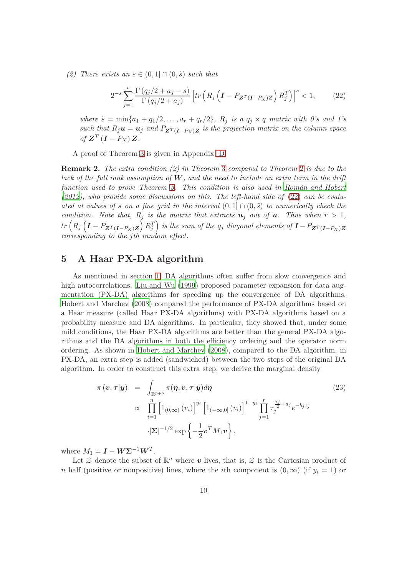*(2)* There exists an  $s \in (0, 1] ∩ (0, \tilde{s})$  *such that* 

<span id="page-9-1"></span>
$$
2^{-s} \sum_{j=1}^{r} \frac{\Gamma(q_j/2 + a_j - s)}{\Gamma(q_j/2 + a_j)} \left[ tr \left( R_j \left( \mathbf{I} - P_{\mathbf{Z}^T(\mathbf{I} - P_X)\mathbf{Z}} \right) R_j^T \right) \right]^s < 1,\tag{22}
$$

*where*  $\tilde{s} = \min\{a_1 + q_1/2, \ldots, a_r + q_r/2\}, R_j$  *is a*  $q_j \times q$  *matrix with* 0's and 1's *such that*  $R_j u = u_j$  *and*  $P_{Z^T(I-P_X)Z}$  *is the projection matrix on the column space*  $of \mathbf{Z}^T (\mathbf{I} - P_X) \mathbf{Z}.$ 

A proof of Theorem [3](#page-8-2) is given in Appendix [D.](#page-22-0)

**Remark 2.** *The extra condition (2) in Theorem* [3](#page-8-2) *compared to Theorem* [2](#page-8-1) *is due to the lack of the full rank assumption of* W*, and the need to include an extra term in the drift function used to prove Theorem [3.](#page-8-2) This condition is also used in [Rom´an and Hobert](#page-27-2) [\(2012](#page-27-2)), who provide some discussions on this. The left-hand side of* [\(22\)](#page-9-1) *can be evaluated at values of s on a fine grid in the interval*  $(0,1] \cap (0,\tilde{s})$  *to numerically check the condition.* Note that,  $R_i$  is the matrix that extracts  $u_j$  *out of*  $u$ *. Thus when*  $r > 1$ *,*  $tr\left(R_j\left(\bm{I}-P_{\bm{Z}^T(\bm{I}-P_X)\bm{Z}}\right)R_j^T\right)$  is the sum of the  $q_j$  diagonal elements of  $\bm{I}-P_{\bm{Z}^T(\bm{I}-P_X)\bm{Z}}$ *corresponding to the jth random effect.*

## <span id="page-9-0"></span>**5 A Haar PX-DA algorithm**

As mentioned in section [1,](#page-0-0) DA algorithms often suffer from slow convergence and high autocorrelations. [Liu and Wu \(1999](#page-26-9)) proposed parameter expansion for data augmentation (PX-DA) algorithms for speeding up the convergence of DA algorithms. [Hobert and Marchev \(2008](#page-26-10)) compared the performance of PX-DA algorithms based on a Haar measure (called Haar PX-DA algorithms) with PX-DA algorithms based on a probability measure and DA algorithms. In particular, they showed that, under some mild conditions, the Haar PX-DA algorithms are better than the general PX-DA algorithms and the DA algorithms in both the efficiency ordering and the operator norm ordering. As shown in [Hobert and Marchev \(2008](#page-26-10)), compared to the DA algorithm, in PX-DA, an extra step is added (sandwiched) between the two steps of the original DA algorithm. In order to construct this extra step, we derive the marginal density

<span id="page-9-2"></span>
$$
\pi(\mathbf{v}, \tau | \mathbf{y}) = \int_{\mathbb{R}^{p+q}} \pi(\eta, \mathbf{v}, \tau | \mathbf{y}) d\eta
$$
\n
$$
\propto \prod_{i=1}^{n} \left[ 1_{(0,\infty)}(v_i) \right]^{y_i} \left[ 1_{(-\infty,0]}(v_i) \right]^{1-y_i} \prod_{j=1}^{r} \tau_j^{\frac{q_j}{2} + a_j} e^{-b_j \tau_j}
$$
\n
$$
\cdot |\Sigma|^{-1/2} \exp\left\{-\frac{1}{2} \mathbf{v}^T M_1 \mathbf{v} \right\},
$$
\n(23)

where  $M_1 = \mathbf{I} - \mathbf{W} \Sigma^{-1} \mathbf{W}^T$ .

Let  $\mathcal Z$  denote the subset of  $\mathbb R^n$  where  $v$  lives, that is,  $\mathcal Z$  is the Cartesian product of *n* half (positive or nonpositive) lines, where the *i*th component is  $(0, \infty)$  (if  $y_i = 1$ ) or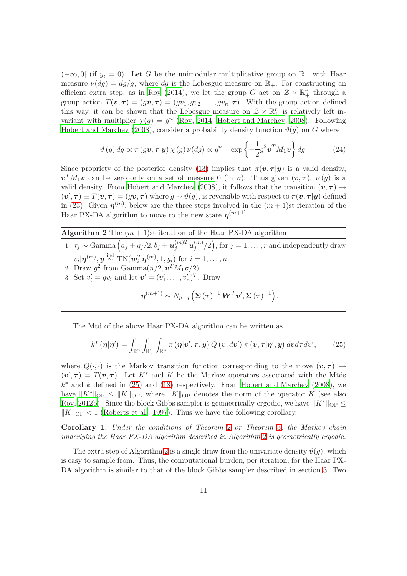$(-\infty, 0]$  (if  $y_i = 0$ ). Let G be the unimodular multiplicative group on  $\mathbb{R}_+$  with Haar measure  $\nu(dg) = dg/g$ , where dg is the Lebesgue measure on  $\mathbb{R}_+$ . For constructing an efficient extra step, as in [Roy \(2014](#page-27-5)), we let the group *G* act on  $\mathcal{Z} \times \mathbb{R}^r_+$  through a group action  $T(\mathbf{v}, \tau) = (gv, \tau) = (gv_1, gv_2, \dots, gv_n, \tau)$ . With the group action defined this way, it can be shown that the Lebesgue measure on  $\mathcal{Z} \times \mathbb{R}^r_+$  is relatively left invariant with multiplier  $\chi(g) = g^n$  [\(Roy, 2014](#page-27-5); [Hobert and Marchev, 2008](#page-26-10)). Following [Hobert and Marchev \(2008](#page-26-10)), consider a probability density function  $\vartheta(g)$  on *G* where

$$
\vartheta(g) dg \propto \pi(g\mathbf{v}, \tau | \mathbf{y}) \chi(g) \nu(dg) \propto g^{n-1} \exp\left\{-\frac{1}{2}g^2 \mathbf{v}^T M_1 \mathbf{v}\right\} dg.
$$
 (24)

Since propriety of the posterior density [\(13\)](#page-6-1) implies that  $\pi(\mathbf{v}, \tau | \mathbf{y})$  is a valid density,  $v^T M_1 v$  can be zero only on a set of measure 0 (in v). Thus given  $(v, \tau)$ ,  $\vartheta(g)$  is a valid density. From [Hobert and Marchev \(2008](#page-26-10)), it follows that the transition  $(v, \tau) \rightarrow$  $(v', \tau) \equiv T(v, \tau) = (gv, \tau)$  where  $g \sim \vartheta(g)$ , is reversible with respect to  $\pi(v, \tau|y)$  defined in [\(23\)](#page-9-2). Given  $\eta^{(m)}$ , below are the three steps involved in the  $(m+1)$ st iteration of the Haar PX-DA algorithm to move to the new state  $\eta^{(m+1)}$ .

#### <span id="page-10-1"></span>**Algorithm 2** The  $(m+1)$ st iteration of the Haar PX-DA algorithm

1:  $\tau_j \sim \text{Gamma}\left(a_j + q_j/2, b_j + \boldsymbol{u}_j^{(m)T}\boldsymbol{u}_j^{(m)}\right)$  $\binom{m}{j}/2\big),$  for  $j=1,\ldots,r$  and independently draw  $v_i | \boldsymbol{\eta}^{(m)}$ ,  $\boldsymbol{y} \stackrel{\text{ind}}{\sim} \text{TN}(\boldsymbol{w}_i^T \boldsymbol{\eta}^{(m)}, 1, y_i)$  for  $i = 1, \ldots, n$ . 2: Draw  $g^2$  from Gamma $(n/2, \mathbf{v}^T M_1 \mathbf{v}/2)$ . 3: Set  $v'_{i} = gv_{i}$  and let  $v' = (v'_{1}, ..., v'_{n})^{T}$ . Draw

$$
\boldsymbol{\eta}^{(m+1)} \sim N_{p+q}\left(\boldsymbol{\Sigma}\left(\boldsymbol{\tau}\right)^{-1}\boldsymbol{W}^T\boldsymbol{v}', \boldsymbol{\Sigma}\left(\boldsymbol{\tau}\right)^{-1}\right).
$$

The Mtd of the above Haar PX-DA algorithm can be written as

<span id="page-10-0"></span>
$$
k^{\ast}(\boldsymbol{\eta}|\boldsymbol{\eta}') = \int_{\mathbb{R}^{n}} \int_{\mathbb{R}_{+}^{r}} \int_{\mathbb{R}^{n}} \pi(\boldsymbol{\eta}|\boldsymbol{v}',\boldsymbol{\tau},\boldsymbol{y}) Q(\boldsymbol{v},d\boldsymbol{v}') \pi(\boldsymbol{v},\boldsymbol{\tau}|\boldsymbol{\eta}',\boldsymbol{y}) d\boldsymbol{v} d\boldsymbol{\tau} d\boldsymbol{v}', \qquad (25)
$$

where  $Q(\cdot, \cdot)$  is the Markov transition function corresponding to the move  $(v, \tau) \rightarrow$  $(v', \tau) = T(v, \tau)$ . Let  $K^*$  and K be the Markov operators associated with the Mtds  $k^*$  and  $k$  defined in [\(25\)](#page-10-0) and [\(18\)](#page-7-2) respectively. From [Hobert and Marchev \(2008\)](#page-26-10), we have  $||K^*||_{OP} \le ||K||_{OP}$ , where  $||K||_{OP}$  denotes the norm of the operator *K* (see also [Roy](#page-27-8), [2012b](#page-27-8)). Since the block Gibbs sampler is geometrically ergodic, we have  $||K^*||_{OP} \le$  $\|K\|_{\text{OP}} < 1$  [\(Roberts et al.](#page-27-7), [1997\)](#page-27-7). Thus we have the following corollary.

**Corollary 1.** *Under the conditions of Theorem* [2](#page-8-1) *or Theorem* [3](#page-8-2)*, the Markov chain underlying the Haar PX-DA algorithm described in Algorithm* [2](#page-10-1) *is geometrically ergodic.*

The extra step of Algorithm [2](#page-10-1) is a single draw from the univariate density  $\vartheta(g)$ , which is easy to sample from. Thus, the computational burden, per iteration, for the Haar PX-DA algorithm is similar to that of the block Gibbs sampler described in section [3.](#page-6-0) Two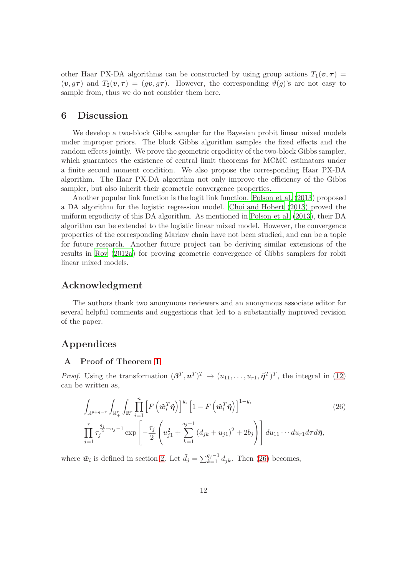other Haar PX-DA algorithms can be constructed by using group actions  $T_1(v, \tau)$  $(v, g\tau)$  and  $T_2(v, \tau) = (gv, g\tau)$ . However, the corresponding  $\vartheta(g)$ 's are not easy to sample from, thus we do not consider them here.

## <span id="page-11-0"></span>**6 Discussion**

We develop a two-block Gibbs sampler for the Bayesian probit linear mixed models under improper priors. The block Gibbs algorithm samples the fixed effects and the random effects jointly. We prove the geometric ergodicity of the two-block Gibbs sampler, which guarantees the existence of central limit theorems for MCMC estimators under a finite second moment condition. We also propose the corresponding Haar PX-DA algorithm. The Haar PX-DA algorithm not only improve the efficiency of the Gibbs sampler, but also inherit their geometric convergence properties.

Another popular link function is the logit link function. [Polson et al. \(2013](#page-26-12)) proposed a DA algorithm for the logistic regression model. [Choi and Hobert \(2013](#page-26-13)) proved the uniform ergodicity of this DA algorithm. As mentioned in [Polson et al. \(2013\)](#page-26-12), their DA algorithm can be extended to the logistic linear mixed model. However, the convergence properties of the corresponding Markov chain have not been studied, and can be a topic for future research. Another future project can be deriving similar extensions of the results in [Roy \(2012a\)](#page-27-9) for proving geometric convergence of Gibbs samplers for robit linear mixed models.

#### **Acknowledgment**

The authors thank two anonymous reviewers and an anonymous associate editor for several helpful comments and suggestions that led to a substantially improved revision of the paper.

# <span id="page-11-1"></span>**Appendices**

#### **A Proof of Theorem [1](#page-5-0)**

*Proof.* Using the transformation  $(\boldsymbol{\beta}^T, \boldsymbol{u}^T)^T \to (u_{11}, \ldots, u_{r1}, \tilde{\boldsymbol{\eta}}^T)^T$ , the integral in [\(12\)](#page-5-1) can be written as,

<span id="page-11-2"></span>
$$
\int_{\mathbb{R}^{p+q-r}} \int_{\mathbb{R}^r_+} \int_{\mathbb{R}^r} \prod_{i=1}^n \left[ F\left(\tilde{\boldsymbol{w}}_i^T \tilde{\boldsymbol{\eta}}\right) \right]^{y_i} \left[1 - F\left(\tilde{\boldsymbol{w}}_i^T \tilde{\boldsymbol{\eta}}\right) \right]^{1-y_i} \left(26\right)
$$
\n
$$
\prod_{j=1}^r \tau_j^{\frac{q_j}{2}+a_j-1} \exp\left[-\frac{\tau_j}{2} \left(u_{j1}^2 + \sum_{k=1}^{q_j-1} \left(d_{jk}+u_{j1}\right)^2 + 2b_j\right) \right] du_{11} \cdots du_{r1} d\tau d\tilde{\boldsymbol{\eta}},
$$
\n(26)

where  $\tilde{w}_i$  is defined in section [2.](#page-3-0) Let  $\bar{d}_j = \sum_{k=1}^{q_j-1} d_{jk}$ . Then [\(26\)](#page-11-2) becomes,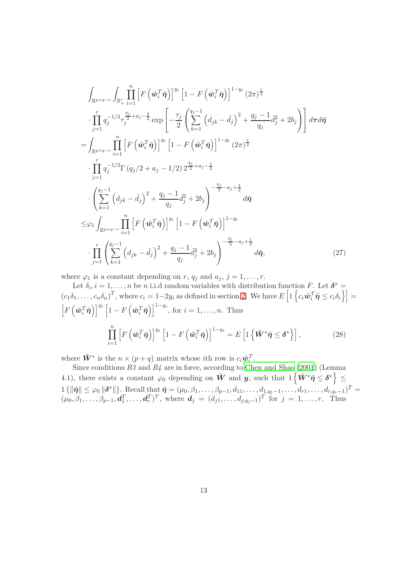$$
\int_{\mathbb{R}^{p+q-r}} \int_{\mathbb{R}^{r}_{+}} \prod_{i=1}^{n} \left[ F\left(\tilde{\boldsymbol{w}}_{i}^{T} \tilde{\boldsymbol{\eta}}\right) \right]^{y_{i}} \left[ 1 - F\left(\tilde{\boldsymbol{w}}_{i}^{T} \tilde{\boldsymbol{\eta}}\right) \right]^{1-y_{i}} (2\pi)^{\frac{r}{2}} \n\cdot \prod_{j=1}^{r} q_{j}^{-1/2} \tau_{j}^{\frac{q_{j}}{2}+a_{j}-\frac{3}{2}} \exp\left[ -\frac{\tau_{j}}{2} \left( \sum_{k=1}^{q_{j}-1} \left( d_{jk} - \bar{d}_{j} \right)^{2} + \frac{q_{j}-1}{q_{j}} \bar{d}_{j}^{2} + 2b_{j} \right) \right] d\tau d\tilde{\boldsymbol{\eta}} \n= \int_{\mathbb{R}^{p+q-r}} \prod_{i=1}^{n} \left[ F\left(\tilde{\boldsymbol{w}}_{i}^{T} \tilde{\boldsymbol{\eta}}\right) \right]^{y_{i}} \left[ 1 - F\left(\tilde{\boldsymbol{w}}_{i}^{T} \tilde{\boldsymbol{\eta}}\right) \right]^{1-y_{i}} (2\pi)^{\frac{r}{2}} \n\cdot \prod_{j=1}^{r} q_{j}^{-1/2} \Gamma\left(q_{j}/2 + a_{j} - 1/2\right) 2^{\frac{q_{j}}{2}+a_{j}-\frac{1}{2}} \n\cdot \left( \sum_{k=1}^{q_{j}-1} \left( d_{jk} - \bar{d}_{j} \right)^{2} + \frac{q_{j}-1}{q_{j}} \bar{d}_{j}^{2} + 2b_{j} \right)^{-\frac{q_{j}}{2}-a_{j}+\frac{1}{2}} d\tilde{\boldsymbol{\eta}} \n\leq \varphi_{1} \int_{\mathbb{R}^{p+q-r}} \prod_{i=1}^{n} \left[ F\left(\tilde{\boldsymbol{w}}_{i}^{T} \tilde{\boldsymbol{\eta}}\right) \right]^{y_{i}} \left[ 1 - F\left(\tilde{\boldsymbol{w}}_{i}^{T} \tilde{\boldsymbol{\eta}}\right) \right]^{1-y_{i}} \n\cdot \prod_{j=1}^{r} \left( \sum_{k=1}^{q_{j}-1
$$

<span id="page-12-0"></span>where  $\varphi_1$  is a constant depending on *r*,  $q_j$  and  $a_j$ ,  $j = 1, \ldots, r$ .

Let  $\delta_i$ ,  $i = 1, \ldots, n$  be *n* i.i.d random variables with distribution function *F*. Let  $\delta^* =$  $(c_1\delta_1,\ldots,c_n\delta_n)^T$ , where  $c_i=1-2y_i$  as defined in section [2.](#page-3-0) We have  $E\left[1\left\{c_i\tilde{\boldsymbol{w}}_i^T\tilde{\boldsymbol{\eta}}\leq c_i\delta_i\right\}\right]=$  $\left[F\left(\tilde{\boldsymbol{w}}_i^T \tilde{\boldsymbol{\eta}}\right)\right]^{y_i} \left[1 - F\left(\tilde{\boldsymbol{w}}_i^T \tilde{\boldsymbol{\eta}}\right)\right]^{1-y_i}$ , for  $i = 1, \dots, n$ . Thus  $\prod^n$ *i*=1  $\left[F\left(\tilde{\boldsymbol{w}}_i^T \tilde{\boldsymbol{\eta}}\right)\right]^{y_i} \left[1 - F\left(\tilde{\boldsymbol{w}}_i^T \tilde{\boldsymbol{\eta}}\right)\right]^{1 - y_i} = E\left[1\left\{\tilde{\boldsymbol{W}}^* \tilde{\boldsymbol{\eta}} \leq \boldsymbol{\delta}^*\right\}\right],\tag{28}$ 

<span id="page-12-1"></span>where  $\tilde{\mathbf{W}}^*$  is the  $n \times (p+q)$  matrix whose *i*th row is  $c_i \tilde{\mathbf{w}}_i^T$ .

Since conditions *B3* and *B4* are in force, according to [Chen and Shao \(2001](#page-26-14)) (Lemma 4.1), there exists a constant  $\varphi_0$  depending on  $\tilde{W}$  and  $y$ , such that  $1\left\{\tilde{W}^*\tilde{\eta}\leq\delta^*\right\}\leq$  $1 \{\|\tilde{\pmb{\eta}}\| \leq \varphi_0 \|\boldsymbol{\delta}^*\|\}.$  Recall that  $\tilde{\pmb{\eta}} = (\mu_0, \beta_1, \ldots, \beta_{p-1}, d_{11}, \ldots, d_{1,q-1}, \ldots, d_{r1}, \ldots, d_{r,q_r-1})^T =$  $(\mu_0, \beta_1, \ldots, \beta_{p-1}, \mathbf{d}_1^T, \ldots, \mathbf{d}_r^T)^T$ , where  $\mathbf{d}_j = (d_{j1}, \ldots, d_{j,q_j-1})^T$  for  $j = 1, \ldots, r$ . Thus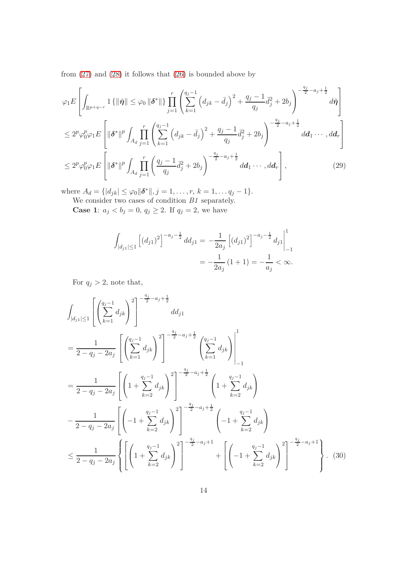from  $(27)$  and  $(28)$  it follows that  $(26)$  is bounded above by

$$
\varphi_{1}E\left[\int_{\mathbb{R}^{p+q-r}}1\{\|\tilde{\eta}\| \leq \varphi_{0}\|\delta^{*}\|\}\prod_{j=1}^{r}\left(\sum_{k=1}^{q_{j}-1}\left(d_{jk}-\bar{d}_{j}\right)^{2}+\frac{q_{j}-1}{q_{j}}\bar{d}_{j}^{2}+2b_{j}\right)^{-\frac{q_{j}}{2}-a_{j}+\frac{1}{2}}d\tilde{\eta}\right]
$$
\n
$$
\leq 2^{p}\varphi_{0}^{p}\varphi_{1}E\left[\|\delta^{*}\|^{p}\int_{A_{d}}\prod_{j=1}^{r}\left(\sum_{k=1}^{q_{j}-1}\left(d_{jk}-\bar{d}_{j}\right)^{2}+\frac{q_{j}-1}{q_{j}}\bar{d}_{j}^{2}+2b_{j}\right)^{-\frac{q_{j}}{2}-a_{j}+\frac{1}{2}}d\mathbf{d}_{1}\cdots,d\mathbf{d}_{r}\right]
$$
\n
$$
\leq 2^{p}\varphi_{0}^{p}\varphi_{1}E\left[\|\delta^{*}\|^{p}\int_{A_{d}}\prod_{j=1}^{r}\left(\frac{q_{j}-1}{q_{j}}\bar{d}_{j}^{2}+2b_{j}\right)^{-\frac{q_{j}}{2}-a_{j}+\frac{1}{2}}d\mathbf{d}_{1}\cdots,d\mathbf{d}_{r}\right],\tag{29}
$$

where  $A_d = \{ |d_{jk}| \leq \varphi_0 \|\boldsymbol{\delta}^*\|, j = 1, \ldots, r, k = 1, \ldots, q_j - 1 \}.$ 

We consider two cases of condition *B1* separately.

**Case 1**:  $a_j < b_j = 0, q_j \ge 2$ . If  $q_j = 2$ , we have

$$
\int_{|d_{j1}| \le 1} \left[ (d_{j1})^2 \right]^{-a_j - \frac{1}{2}} d d_{j1} = -\frac{1}{2a_j} \left[ (d_{j1})^2 \right]^{-a_j - \frac{1}{2}} d_{j1} \Big|_{-1}^{1}
$$

$$
= -\frac{1}{2a_j} \left( 1 + 1 \right) = -\frac{1}{a_j} < \infty.
$$

For  $q_j > 2$ , note that,

<span id="page-13-0"></span>
$$
\int_{|d_{j1}| \le 1} \left[ \left( \sum_{k=1}^{q_{j}-1} d_{jk} \right)^{2} \right]^{-\frac{q_{j}}{2} - a_{j} + \frac{1}{2}} d d_{j1}
$$
\n
$$
= \frac{1}{2 - q_{j} - 2a_{j}} \left[ \left( \sum_{k=1}^{q_{j}-1} d_{jk} \right)^{2} \right]^{-\frac{q_{j}}{2} - a_{j} + \frac{1}{2}} \left( \sum_{k=1}^{q_{j}-1} d_{jk} \right) \Bigg|_{-1}^{1}
$$
\n
$$
= \frac{1}{2 - q_{j} - 2a_{j}} \left[ \left( 1 + \sum_{k=2}^{q_{j}-1} d_{jk} \right)^{2} \right]^{-\frac{q_{j}}{2} - a_{j} + \frac{1}{2}} \left( 1 + \sum_{k=2}^{q_{j}-1} d_{jk} \right)
$$
\n
$$
- \frac{1}{2 - q_{j} - 2a_{j}} \left[ \left( -1 + \sum_{k=2}^{q_{j}-1} d_{jk} \right)^{2} \right]^{-\frac{q_{j}}{2} - a_{j} + \frac{1}{2}} \left( -1 + \sum_{k=2}^{q_{j}-1} d_{jk} \right)
$$
\n
$$
\le \frac{1}{2 - q_{j} - 2a_{j}} \left\{ \left[ \left( 1 + \sum_{k=2}^{q_{j}-1} d_{jk} \right)^{2} \right]^{-\frac{q_{j}}{2} - a_{j} + 1} + \left[ \left( -1 + \sum_{k=2}^{q_{j}-1} d_{jk} \right)^{2} \right]^{-\frac{q_{j}}{2} - a_{j} + 1} \right\}. \quad (30)
$$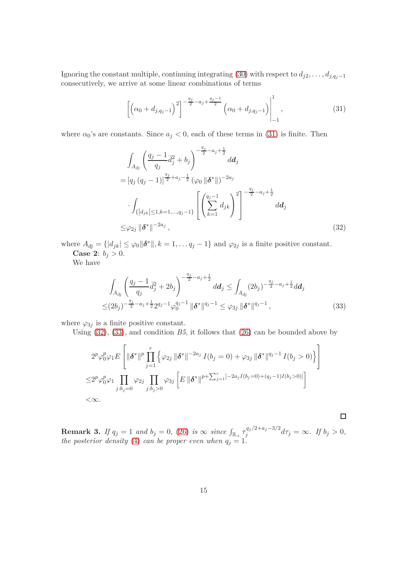Ignoring the constant multiple, continuing integrating [\(30\)](#page-13-0) with respect to  $d_{j2}, \ldots, d_{j,q_j-1}$ consecutively, we arrive at some linear combinations of terms

<span id="page-14-0"></span>
$$
\left[\left(\alpha_0 + d_{j,q_j-1}\right)^2\right]^{-\frac{q_j}{2} - a_j + \frac{q_j-1}{2}} \left(\alpha_0 + d_{j,q_j-1}\right)\Big|_{-1}^1, \tag{31}
$$

where  $\alpha_0$ 's are constants. Since  $a_j < 0$ , each of these terms in [\(31\)](#page-14-0) is finite. Then

$$
\int_{A_{dj}} \left(\frac{q_j - 1}{q_j} \bar{d}_j^2 + b_j\right)^{-\frac{q_j}{2} - a_j + \frac{1}{2}} d\mathbf{d}_j
$$
\n
$$
= [q_j (q_j - 1)]^{\frac{q_j}{2} + a_j - \frac{1}{2}} (\varphi_0 \|\boldsymbol{\delta}^*\|)^{-2a_j}
$$
\n
$$
\cdot \int_{\{ |d_{jk}| \le 1, k = 1, \dots, q_j - 1 \}} \left[ \left(\sum_{k=1}^{q_j - 1} d_{jk}\right)^2 \right]^{-\frac{q_j}{2} - a_j + \frac{1}{2}} d\mathbf{d}_j
$$
\n
$$
\le \varphi_{2j} \|\boldsymbol{\delta}^*\|^{-2a_j}, \tag{32}
$$

where  $A_{dj} = \{|d_{jk}| \leq \varphi_0 \|\boldsymbol{\delta}^*\|, k = 1, \ldots q_j - 1\}$  and  $\varphi_{2j}$  is a finite positive constant. **Case 2:**  $b_j > 0$ .

We have

$$
\int_{A_{dj}} \left( \frac{q_j - 1}{q_j} \bar{d}_j^2 + 2b_j \right)^{-\frac{q_j}{2} - a_j + \frac{1}{2}} d\mathbf{d}_j \le \int_{A_{dj}} (2b_j)^{-\frac{q_j}{2} - a_j + \frac{1}{2}} d\mathbf{d}_j
$$
\n
$$
\le (2b_j)^{-\frac{q_j}{2} - a_j + \frac{1}{2}} 2^{q_j - 1} \varphi_0^{q_j - 1} \|\boldsymbol{\delta}^*\|^{q_j - 1} \le \varphi_{3j} \|\boldsymbol{\delta}^*\|^{q_j - 1},
$$
\n(33)

<span id="page-14-2"></span><span id="page-14-1"></span> $\Box$ 

where  $\varphi_{3j}$  is a finite positive constant.

Using [\(32\)](#page-14-1), [\(33\)](#page-14-2), and condition *B5*, it follows that [\(26\)](#page-11-2) can be bounded above by

$$
2^{p} \varphi_{0}^{p} \varphi_{1} E \left[ \|\boldsymbol{\delta}^{*}\|^{p} \prod_{j=1}^{r} \left\{ \varphi_{2j} \|\boldsymbol{\delta}^{*}\|^{-2a_{j}} I(b_{j} = 0) + \varphi_{3j} \|\boldsymbol{\delta}^{*}\|^{q_{j}-1} I(b_{j} > 0) \right\} \right]
$$
  

$$
\leq 2^{p} \varphi_{0}^{p} \varphi_{1} \prod_{j:b_{j}=0} \varphi_{2j} \prod_{j:b_{j}>0} \varphi_{3j} \left[ E \|\boldsymbol{\delta}^{*}\|^{p+\sum_{j=1}^{r}[-2a_{j}I(b_{j}=0)+(q_{j}-1)I(b_{j}>0)]} \right]
$$
  

$$
<\infty.
$$

**Remark 3.** *If*  $q_j = 1$  *and*  $b_j = 0$ , [\(26\)](#page-11-2) *is*  $\infty$  *since*  $\int_{\mathbb{R}_+} \tau_j^{q_j/2 + a_j - 3/2}$  $\int_{j}^{q_j/2+u_j-3/2} d\tau_j = \infty$ . If  $b_j > 0$ , *the posterior density* [\(4\)](#page-1-0) *can be proper even when*  $q_j = 1$ *.*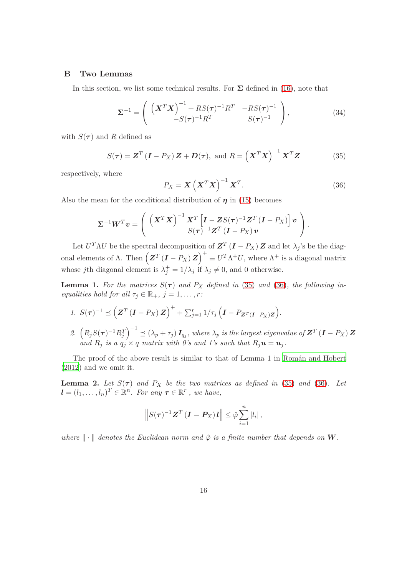#### <span id="page-15-5"></span>**B Two Lemmas**

In this section, we list some technical results. For  $\Sigma$  defined in [\(16\)](#page-6-2), note that

<span id="page-15-2"></span>
$$
\Sigma^{-1} = \left( \begin{array}{cc} \left( \boldsymbol{X}^T \boldsymbol{X} \right)^{-1} + RS(\boldsymbol{\tau})^{-1} \boldsymbol{R}^T & -RS(\boldsymbol{\tau})^{-1} \\ -S(\boldsymbol{\tau})^{-1} \boldsymbol{R}^T & S(\boldsymbol{\tau})^{-1} \end{array} \right), \tag{34}
$$

with  $S(\tau)$  and R defined as

<span id="page-15-0"></span>
$$
S(\tau) = \mathbf{Z}^T (\mathbf{I} - P_X) \mathbf{Z} + \mathbf{D}(\tau), \text{ and } R = \left(\mathbf{X}^T \mathbf{X}\right)^{-1} \mathbf{X}^T \mathbf{Z}
$$
(35)

respectively, where

<span id="page-15-1"></span>
$$
P_X = \mathbf{X} \left( \mathbf{X}^T \mathbf{X} \right)^{-1} \mathbf{X}^T. \tag{36}
$$

Also the mean for the conditional distribution of  $\eta$  in [\(15\)](#page-6-3) becomes

$$
\Sigma^{-1} \boldsymbol{W}^T \boldsymbol{v} = \left( \begin{array}{c} \left( \boldsymbol{X}^T \boldsymbol{X} \right)^{-1} \boldsymbol{X}^T \left[ \boldsymbol{I} - \boldsymbol{Z} S(\boldsymbol{\tau})^{-1} \boldsymbol{Z}^T \left( \boldsymbol{I} - P_{\boldsymbol{X}} \right) \right] \boldsymbol{v} \\ S(\boldsymbol{\tau})^{-1} \boldsymbol{Z}^T \left( \boldsymbol{I} - P_{\boldsymbol{X}} \right) \boldsymbol{v} \end{array} \right).
$$

Let  $U^T \Lambda U$  be the spectral decomposition of  $\mathbf{Z}^T (\mathbf{I} - P_X) \mathbf{Z}$  and let  $\lambda_j$ 's be the diagonal elements of  $\Lambda$ . Then  $(Z^T(I - P_X)Z)^+ \equiv U^T \Lambda^+ U$ , where  $\Lambda^+$  is a diagonal matrix whose *j*th diagonal element is  $\lambda_j^+ = 1/\lambda_j$  if  $\lambda_j \neq 0$ , and 0 otherwise.

<span id="page-15-3"></span>**Lemma 1.** For the matrices  $S(\tau)$  and  $P_X$  defined in [\(35\)](#page-15-0) and [\(36\)](#page-15-1), the following in*equalities hold for all*  $\tau_j \in \mathbb{R}_+$ ,  $j = 1, \ldots, r$ :

- *1.*  $S(\tau)^{-1} \leq (Z^T (I P_X) Z)^+ + \sum_{j=1}^r 1/\tau_j (I P_{Z^T (I P_X) Z}).$ 2.  $(R_jS(\tau)^{-1}R_j^T)^{-1} \preceq (\lambda_p + \tau_j) I_{q_j}$ , where  $\lambda_p$  is the largest eigenvalue of  $\boldsymbol{Z}^T$  (**I** – P<sub>X</sub>)  $\boldsymbol{Z}$
- *and*  $R_j$  *is a*  $q_j \times q$  *matrix with* 0's and 1's such that  $R_j \mathbf{u} = \mathbf{u}_j$ .

The proof of the above result is similar to that of Lemma 1 in Román and Hobert [\(2012](#page-27-2)) and we omit it.

<span id="page-15-4"></span>**Lemma 2.** Let  $S(\tau)$  and  $P_X$  be the two matrices as defined in [\(35\)](#page-15-0) and [\(36\)](#page-15-1). Let  $\mathbf{l} = (l_1, \ldots, l_n)^T \in \mathbb{R}^n$ . For any  $\boldsymbol{\tau} \in \mathbb{R}_+^r$ , we have,

$$
\left\|S(\tau)^{-1}\mathbf{Z}^T\left(\mathbf{I}-\mathbf{P}_X\right)\mathbf{l}\right\|\leq \hat{\varphi}\sum_{i=1}^n|l_i|,
$$

*where*  $\|\cdot\|$  *denotes the Euclidean norm and*  $\hat{\varphi}$  *is a finite number that depends on* W.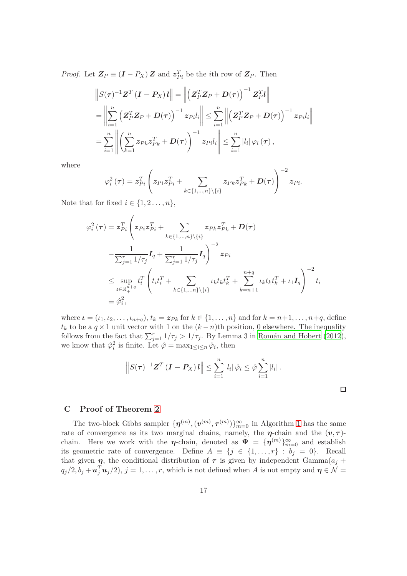*Proof.* Let  $\mathbf{Z}_P \equiv (\mathbf{I} - P_X) \mathbf{Z}$  and  $\mathbf{z}_{P_i}^T$  be the *i*th row of  $\mathbf{Z}_P$ . Then

$$
\|S(\tau)^{-1}Z^{T}(I-P_X)I\| = \left\|\left(Z_{P}^{T}Z_{P} + D(\tau)\right)^{-1}Z_{P}^{T}I\right\|
$$
  
\n
$$
= \left\|\sum_{i=1}^{n}\left(Z_{P}^{T}Z_{P} + D(\tau)\right)^{-1}z_{Pi}I_{i}\right\| \leq \sum_{i=1}^{n}\left\|\left(Z_{P}^{T}Z_{P} + D(\tau)\right)^{-1}z_{Pi}I_{i}\right\|
$$
  
\n
$$
= \sum_{i=1}^{n}\left\|\left(\sum_{k=1}^{n}z_{Pk}z_{Pk}^{T} + D(\tau)\right)^{-1}z_{Pi}I_{i}\right\| \leq \sum_{i=1}^{n}|l_{i}|\varphi_{i}(\tau),
$$

where

$$
\varphi_i^2\left(\boldsymbol{\tau}\right) = \boldsymbol{z}_{Pi}^T\left({\boldsymbol{z}_{Pi}\boldsymbol{z}_{Pi}^T} + \sum_{k\in\{1,...,n\}\backslash\{i\}}{\boldsymbol{z}_{Pk}\boldsymbol{z}_{Pk}^T} + \boldsymbol{D}(\boldsymbol{\tau})\right)^{-2}\boldsymbol{z}_{Pi}.
$$

Note that for fixed  $i \in \{1, 2, \ldots, n\},\$ 

$$
\varphi_i^2(\tau) = z_{Pi}^T \left( z_{Pi} z_{Pi}^T + \sum_{k \in \{1, \ldots, n\} \setminus \{i\}} z_{Pk} z_{Pk}^T + D(\tau) \right.\n- \frac{1}{\sum_{j=1}^r 1/\tau_j} I_q + \frac{1}{\sum_{j=1}^r 1/\tau_j} I_q \right)^{-2} z_{Pi} \n\leq \sup_{\iota \in \mathbb{R}_+^{n+q}} t_i^T \left( t_i t_i^T + \sum_{k \in \{1, \ldots, n\} \setminus \{i\}} t_k t_k t_k^T + \sum_{k=n+1}^{n+q} t_k t_k t_k^T + t_1 I_q \right)^{-2} t_i \n\equiv \varphi_i^2,
$$

where  $\boldsymbol{\iota} = (\iota_1, \iota_2, \ldots, \iota_{n+q}), t_k = \boldsymbol{z}_{Pk}$  for  $k \in \{1, \ldots, n\}$  and for  $k = n+1, \ldots, n+q$ , define  $t_k$  to be a  $q \times 1$  unit vector with 1 on the  $(k - n)$ th position, 0 elsewhere. The inequality follows from the fact that  $\sum_{j=1}^{r} 1/\tau_j > 1/\tau_j$ . By Lemma 3 in Román and Hobert (2012), we know that  $\hat{\varphi}_i^2$  is finite. Let  $\hat{\varphi} = \max_{1 \leq i \leq n} \hat{\varphi}_i$ , then

$$
\left\|S(\tau)^{-1}\mathbf{Z}^{T}(\mathbf{I}-\mathbf{P}_{X})\mathbf{I}\right\| \leq \sum_{i=1}^{n}|l_{i}|\hat{\varphi}_{i} \leq \hat{\varphi}\sum_{i=1}^{n}|l_{i}|.
$$

 $\Box$ 

#### <span id="page-16-0"></span>**C Proof of Theorem [2](#page-8-1)**

The two-block Gibbs sampler  $\{\boldsymbol{\eta}^{(m)}, (\boldsymbol{v}^{(m)}, \boldsymbol{\tau}^{(m)})\}_{m=0}^{\infty}$  in Algorithm [1](#page-7-3) has the same rate of convergence as its two marginal chains, namely, the  $\eta$ -chain and the  $(v, \tau)$ chain. Here we work with the  $\eta$ -chain, denoted as  $\Psi = {\{\eta^{(m)}\}}_{m=0}^{\infty}$  and establish its geometric rate of convergence. Define  $A \equiv \{j \in \{1, ..., r\} : b_j = 0\}$ . Recall that given  $\eta$ , the conditional distribution of  $\tau$  is given by independent Gamma $(a_j +$  $q_j/2, b_j + \mathbf{u}_j^T \mathbf{u}_j/2$ ,  $j = 1, \ldots, r$ , which is not defined when *A* is not empty and  $\boldsymbol{\eta} \in \mathcal{N}$  =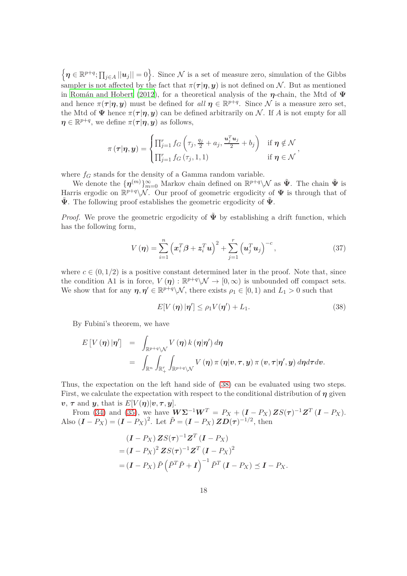$\left\{\boldsymbol{\eta} \in \mathbb{R}^{p+q}; \prod_{j\in A} ||\boldsymbol{u}_j|| = 0\right\}$ . Since N is a set of measure zero, simulation of the Gibbs sampler is not affected by the fact that  $\pi(\tau|\eta, y)$  is not defined on N. But as mentioned in Román and Hobert (2012), for a theoretical analysis of the  $\eta$ -chain, the Mtd of  $\Psi$ and hence  $\pi(\tau | \eta, y)$  must be defined for *all*  $\eta \in \mathbb{R}^{p+q}$ . Since N is a measure zero set, the Mtd of  $\Psi$  hence  $\pi(\tau|\eta, y)$  can be defined arbitrarily on N. If A is not empty for all  $\boldsymbol{\eta} \in \mathbb{R}^{p+q}$ , we define  $\pi(\boldsymbol{\tau}|\boldsymbol{\eta}, \boldsymbol{y})$  as follows,

$$
\pi(\tau|\boldsymbol{\eta},\boldsymbol{y}) = \begin{cases} \prod_{j=1}^{r} f_G\left(\tau_j,\frac{q_j}{2}+a_j,\frac{\boldsymbol{u}_j^T\boldsymbol{u}_j}{2}+b_j\right) & \text{if } \boldsymbol{\eta} \notin \mathcal{N} \\ \prod_{j=1}^{r} f_G\left(\tau_j,1,1\right) & \text{if } \boldsymbol{\eta} \in \mathcal{N} \end{cases},
$$

where  $f_G$  stands for the density of a Gamma random variable.

We denote the  $\{\boldsymbol{\eta}^{(m)}\}_{m=0}^{\infty}$  Markov chain defined on  $\mathbb{R}^{p+q}\setminus\mathcal{N}$  as  $\tilde{\Psi}$ . The chain  $\tilde{\Psi}$  is Harris ergodic on  $\mathbb{R}^{p+q}\setminus\mathcal{N}$ . Our proof of geometric ergodicity of  $\Psi$  is through that of  $\hat{\Psi}$ . The following proof establishes the geometric ergodicity of  $\hat{\Psi}$ .

*Proof.* We prove the geometric ergodicity of  $\tilde{\Psi}$  by establishing a drift function, which has the following form,

<span id="page-17-1"></span>
$$
V(\boldsymbol{\eta}) = \sum_{i=1}^{n} \left( \boldsymbol{x}_i^T \boldsymbol{\beta} + \boldsymbol{z}_i^T \boldsymbol{u} \right)^2 + \sum_{j=1}^{r} \left( \boldsymbol{u}_j^T \boldsymbol{u}_j \right)^{-c}, \qquad (37)
$$

where  $c \in (0, 1/2)$  is a positive constant determined later in the proof. Note that, since the condition A1 is in force,  $V(\eta) : \mathbb{R}^{p+q} \setminus \mathcal{N} \to [0,\infty)$  is unbounded off compact sets. We show that for any  $\eta, \eta' \in \mathbb{R}^{p+q} \setminus \mathcal{N}$ , there exists  $\rho_1 \in [0,1)$  and  $L_1 > 0$  such that

<span id="page-17-0"></span>
$$
E[V(\boldsymbol{\eta})|\boldsymbol{\eta}'] \le \rho_1 V(\boldsymbol{\eta}') + L_1. \tag{38}
$$

By Fubini's theorem, we have

$$
\begin{array}{lcl} E\left[V\left(\boldsymbol{\eta}\right)|\boldsymbol{\eta}'\right] & = & \displaystyle\int_{\mathbb{R}^{p+q}\backslash \mathcal{N}} V\left(\boldsymbol{\eta}\right)k\left(\boldsymbol{\eta}|\boldsymbol{\eta}'\right)d\boldsymbol{\eta} \\ \\ & = & \displaystyle\int_{\mathbb{R}^{n}}\int_{\mathbb{R}^{r}_{+}}\int_{\mathbb{R}^{p+q}\backslash \mathcal{N}} V\left(\boldsymbol{\eta}\right)\pi\left(\boldsymbol{\eta}|\boldsymbol{v},\boldsymbol{\tau},\boldsymbol{y}\right)\pi\left(\boldsymbol{v},\boldsymbol{\tau}|\boldsymbol{\eta}',\boldsymbol{y}\right)d\boldsymbol{\eta}d\boldsymbol{\tau}d\boldsymbol{v} .\end{array}
$$

Thus, the expectation on the left hand side of [\(38\)](#page-17-0) can be evaluated using two steps. First, we calculate the expectation with respect to the conditional distribution of  $\eta$  given  $v, \tau$  and  $y$ , that is  $E[V(\eta)|v, \tau, y]$ .

From [\(34\)](#page-15-2) and [\(35\)](#page-15-0), we have  $\mathbf{W\Sigma}^{-1}\mathbf{W}^T = P_X + (\mathbf{I} - P_X) \mathbf{Z} S(\tau)^{-1} \mathbf{Z}^T (\mathbf{I} - P_X).$ Also  $(I - P_X) = (I - P_X)^2$ . Let  $\tilde{P} = (I - P_X) Z D(\tau)^{-1/2}$ , then

$$
\begin{aligned} &(I - P_X) \mathbf{Z} S(\tau)^{-1} \mathbf{Z}^T \left( \mathbf{I} - P_X \right) \\ &= (I - P_X)^2 \mathbf{Z} S(\tau)^{-1} \mathbf{Z}^T \left( \mathbf{I} - P_X \right)^2 \\ &= (I - P_X) \tilde{P} \left( \tilde{P}^T \tilde{P} + \mathbf{I} \right)^{-1} \tilde{P}^T \left( \mathbf{I} - P_X \right) \preceq \mathbf{I} - P_X. \end{aligned}
$$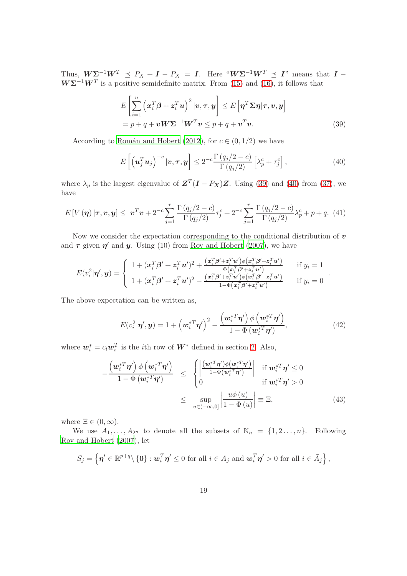Thus,  $W\Sigma^{-1}W^T \preceq P_X + I - P_X = I$ . Here " $W\Sigma^{-1}W^T \preceq I$ " means that  $I W\Sigma^{-1}W^{T}$  is a positive semidefinite matrix. From [\(15\)](#page-6-3) and [\(16\)](#page-6-2), it follows that

$$
E\left[\sum_{i=1}^{n} \left(x_i^T \beta + z_i^T u\right)^2 | v, \tau, y\right] \le E\left[\eta^T \Sigma \eta | \tau, v, y\right]
$$
  
=  $p + q + v W \Sigma^{-1} W^T v \le p + q + v^T v.$  (39)

According to Román and Hobert (2012), for  $c \in (0, 1/2)$  we have

<span id="page-18-1"></span>
$$
E\left[\left(\mathbf{u}_j^T\mathbf{u}_j\right)^{-c}|\mathbf{v},\boldsymbol{\tau},\mathbf{y}\right] \le 2^{-c}\frac{\Gamma\left(q_j/2-c\right)}{\Gamma\left(q_j/2\right)}\left[\lambda_p^c+\tau_j^c\right],\tag{40}
$$

where  $\lambda_p$  is the largest eigenvalue of  $\mathbf{Z}^T(\mathbf{I} - P_{\mathbf{X}})\mathbf{Z}$ . Using [\(39\)](#page-18-0) and [\(40\)](#page-18-1) from [\(37\)](#page-17-1), we have

<span id="page-18-4"></span>
$$
E[V(\eta) | \tau, v, y] \leq v^T v + 2^{-c} \sum_{j=1}^r \frac{\Gamma(q_j/2 - c)}{\Gamma(q_j/2)} \tau_j^c + 2^{-c} \sum_{j=1}^r \frac{\Gamma(q_j/2 - c)}{\Gamma(q_j/2)} \lambda_p^c + p + q. (41)
$$

Now we consider the expectation corresponding to the conditional distribution of  $v$ and  $\tau$  given  $\eta'$  and  $y$ . Using (10) from [Roy and Hobert \(2007](#page-27-0)), we have

$$
E(v_i^2|\boldsymbol{\eta}',\boldsymbol{y}) = \begin{cases} 1 + (\boldsymbol{x}_i^T\boldsymbol{\beta}' + \boldsymbol{z}_i^T\boldsymbol{u}')^2 + \frac{(\boldsymbol{x}_i^T\boldsymbol{\beta}' + \boldsymbol{z}_i^T\boldsymbol{u}')\phi(\boldsymbol{x}_i^T\boldsymbol{\beta}' + \boldsymbol{z}_i^T\boldsymbol{u}')}{\Phi(\boldsymbol{x}_i^T\boldsymbol{\beta}' + \boldsymbol{z}_i^T\boldsymbol{u}')}, & \text{if } y_i = 1\\ 1 + (\boldsymbol{x}_i^T\boldsymbol{\beta}' + \boldsymbol{z}_i^T\boldsymbol{u}')^2 - \frac{(\boldsymbol{x}_i^T\boldsymbol{\beta}' + \boldsymbol{z}_i^T\boldsymbol{u}')\phi(\boldsymbol{x}_i^T\boldsymbol{\beta}' + \boldsymbol{z}_i^T\boldsymbol{u}')}{1 - \Phi(\boldsymbol{x}_i^T\boldsymbol{\beta}' + \boldsymbol{z}_i^T\boldsymbol{u}')}, & \text{if } y_i = 0 \end{cases}
$$

The above expectation can be written as,

<span id="page-18-2"></span>
$$
E(v_i^2|\boldsymbol{\eta}',\boldsymbol{y}) = 1 + \left(\boldsymbol{w}_i^{*T}\boldsymbol{\eta}'\right)^2 - \frac{\left(\boldsymbol{w}_i^{*T}\boldsymbol{\eta}'\right)\phi\left(\boldsymbol{w}_i^{*T}\boldsymbol{\eta}'\right)}{1 - \Phi\left(\boldsymbol{w}_i^{*T}\boldsymbol{\eta}'\right)},\tag{42}
$$

<span id="page-18-0"></span>*.*

where  $w_i^* = c_i w_i^T$  is the *i*<sup>th</sup> row of  $W^*$  defined in section [2.](#page-3-0) Also,

<span id="page-18-3"></span>
$$
-\frac{\left(\boldsymbol{w}_{i}^{*T}\boldsymbol{\eta}'\right)\phi\left(\boldsymbol{w}_{i}^{*T}\boldsymbol{\eta}'\right)}{1-\Phi\left(\boldsymbol{w}_{i}^{*T}\boldsymbol{\eta}'\right)} \leq \begin{cases} \left|\frac{\left(\boldsymbol{w}_{i}^{*T}\boldsymbol{\eta}'\right)\phi\left(\boldsymbol{w}_{i}^{*T}\boldsymbol{\eta}'\right)}{1-\Phi\left(\boldsymbol{w}_{i}^{*T}\boldsymbol{\eta}'\right)}\right| & \text{if } \boldsymbol{w}_{i}^{*T}\boldsymbol{\eta}' \leq 0\\ 0 & \text{if } \boldsymbol{w}_{i}^{*T}\boldsymbol{\eta}' > 0 \end{cases}
$$

$$
\leq \sup_{u \in (-\infty,0]} \left|\frac{u\phi\left(u\right)}{1-\Phi\left(u\right)}\right| \equiv \Xi,
$$
(43)

where  $\Xi \in (0, \infty)$ .

We use  $A_1, \ldots, A_{2^n}$  to denote all the subsets of  $\mathbb{N}_n = \{1, 2, \ldots, n\}$ . Following [Roy and Hobert \(2007](#page-27-0)), let

$$
S_j = \left\{ \boldsymbol{\eta}' \in \mathbb{R}^{p+q} \setminus \{ \mathbf{0} \} : \boldsymbol{w}_i^T \boldsymbol{\eta}' \leq 0 \text{ for all } i \in A_j \text{ and } \boldsymbol{w}_i^T \boldsymbol{\eta}' > 0 \text{ for all } i \in \bar{A}_j \right\},\
$$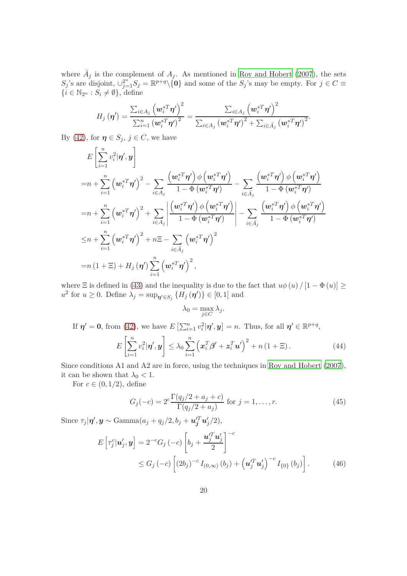where  $\overline{A}_j$  is the complement of  $A_j$ . As mentioned in [Roy and Hobert \(2007](#page-27-0)), the sets  $S_j$ 's are disjoint,  $\bigcup_{j=1}^{2^n} S_j = \mathbb{R}^{p+q} \setminus \{0\}$  and some of the  $S_j$ 's may be empty. For  $j \in C \equiv$  $\{i \in \mathbb{N}_{2^n} : S_i \neq \emptyset\},\$ define

$$
H_j(\boldsymbol{\eta}') = \frac{\sum_{i \in A_j} \left(\boldsymbol{w}_i^{*T}\boldsymbol{\eta}'\right)^2}{\sum_{i=1}^n \left(\boldsymbol{w}_i^{*T}\boldsymbol{\eta}'\right)^2} = \frac{\sum_{i \in A_j} \left(\boldsymbol{w}_i^{*T}\boldsymbol{\eta}'\right)^2}{\sum_{i \in A_j} \left(\boldsymbol{w}_i^{*T}\boldsymbol{\eta}'\right)^2 + \sum_{i \in \bar{A}_j} \left(\boldsymbol{w}_i^{*T}\boldsymbol{\eta}'\right)^2}.
$$

By [\(42\)](#page-18-2), for  $\eta \in S_j$ ,  $j \in C$ , we have

$$
E\left[\sum_{i=1}^{n}v_{i}^{2}|\boldsymbol{\eta}',\boldsymbol{y}\right]
$$
  
\n
$$
=n+\sum_{i=1}^{n}\left(w_{i}^{*T}\boldsymbol{\eta}'\right)^{2}-\sum_{i\in A_{j}}\frac{\left(w_{i}^{*T}\boldsymbol{\eta}'\right)\phi\left(w_{i}^{*T}\boldsymbol{\eta}'\right)}{1-\Phi\left(w_{i}^{*T}\boldsymbol{\eta}'\right)}-\sum_{i\in \bar{A_{j}}}\frac{\left(w_{i}^{*T}\boldsymbol{\eta}'\right)\phi\left(w_{i}^{*T}\boldsymbol{\eta}'\right)}{1-\Phi\left(w_{i}^{*T}\boldsymbol{\eta}'\right)}
$$
  
\n
$$
=n+\sum_{i=1}^{n}\left(w_{i}^{*T}\boldsymbol{\eta}'\right)^{2}+\sum_{i\in A_{j}}\left|\frac{\left(w_{i}^{*T}\boldsymbol{\eta}'\right)\phi\left(w_{i}^{*T}\boldsymbol{\eta}'\right)}{1-\Phi\left(w_{i}^{*T}\boldsymbol{\eta}'\right)}\right|-\sum_{i\in \bar{A_{j}}}\frac{\left(w_{i}^{*T}\boldsymbol{\eta}'\right)\phi\left(w_{i}^{*T}\boldsymbol{\eta}'\right)}{1-\Phi\left(w_{i}^{*T}\boldsymbol{\eta}'\right)}
$$
  
\n
$$
\leq n+\sum_{i=1}^{n}\left(w_{i}^{*T}\boldsymbol{\eta}'\right)^{2}+n\Xi-\sum_{i\in \bar{A_{j}}}\left(w_{i}^{*T}\boldsymbol{\eta}'\right)^{2}
$$
  
\n
$$
=n(1+\Xi)+H_{j}(\boldsymbol{\eta}')\sum_{i=1}^{n}\left(w_{i}^{*T}\boldsymbol{\eta}'\right)^{2},
$$

where  $\Xi$  is defined in [\(43\)](#page-18-3) and the inequality is due to the fact that  $u\phi(u) / [1 - \Phi(u)] \ge$  $u^2$  for  $u \ge 0$ . Define  $\lambda_j = \sup_{\eta' \in S_j} \{ H_j(\eta') \} \in [0,1]$  and

<span id="page-19-1"></span>
$$
\lambda_0 = \max_{j \in C} \lambda_j.
$$

If  $\eta' = 0$ , from [\(42\)](#page-18-2), we have  $E\left[\sum_{i=1}^n v_i^2 | \eta', \mathbf{y}\right] = n$ . Thus, for all  $\eta' \in \mathbb{R}^{p+q}$ ,

<span id="page-19-0"></span>
$$
E\left[\sum_{i=1}^{n} v_i^2 | \boldsymbol{\eta}', \boldsymbol{y}\right] \le \lambda_0 \sum_{i=1}^{n} \left(\boldsymbol{x}_i^T \boldsymbol{\beta}' + \boldsymbol{z}_i^T \boldsymbol{u}'\right)^2 + n\left(1 + \Xi\right). \tag{44}
$$

Since conditions A1 and A2 are in force, using the techniques in [Roy and Hobert \(2007](#page-27-0)), it can be shown that  $\lambda_0 < 1$ .

For  $c \in (0, 1/2)$ , define

<span id="page-19-2"></span>
$$
G_j(-c) = 2^c \frac{\Gamma(q_j/2 + a_j + c)}{\Gamma(q_j/2 + a_j)} \text{ for } j = 1, ..., r.
$$
 (45)

Since  $\tau_j|\boldsymbol{\eta}',\boldsymbol{y} \sim \text{Gamma}(a_j + q_j/2, b_j + \boldsymbol{u}_j'^T \boldsymbol{u}_j'/2),$ 

$$
E\left[\tau_j^c|\mathbf{u}_j',\mathbf{y}\right] = 2^{-c}G_j\left(-c\right)\left[b_j + \frac{\mathbf{u}_j'^T\mathbf{u}_j'}{2}\right]^{-c}
$$
  
 
$$
\leq G_j\left(-c\right)\left[(2b_j)^{-c}I_{(0,\infty)}\left(b_j\right) + \left(\mathbf{u}_j'^T\mathbf{u}_j'\right)^{-c}I_{\{0\}}\left(b_j\right)\right].
$$
 (46)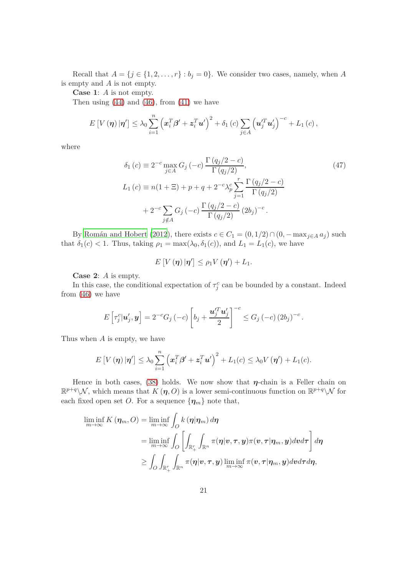Recall that  $A = \{j \in \{1, 2, \ldots, r\} : b_j = 0\}$ . We consider two cases, namely, when A is empty and *A* is not empty.

**Case 1**: *A* is not empty.

Then using  $(44)$  and  $(46)$ , from  $(41)$  we have

$$
E[V(\boldsymbol{\eta})|\boldsymbol{\eta}'] \leq \lambda_0 \sum_{i=1}^n \left(\boldsymbol{x}_i^T\boldsymbol{\beta}' + \boldsymbol{z}_i^T\boldsymbol{u}'\right)^2 + \delta_1(c) \sum_{j\in A} \left(\boldsymbol{u}_j^T\boldsymbol{u}_j'\right)^{-c} + L_1(c),
$$

where

$$
\delta_1(c) \equiv 2^{-c} \max_{j \in A} G_j(-c) \frac{\Gamma(q_j/2 - c)}{\Gamma(q_j/2)},
$$
\n
$$
L_1(c) \equiv n(1 + \Xi) + p + q + 2^{-c} \lambda_p^c \sum_{j=1}^r \frac{\Gamma(q_j/2 - c)}{\Gamma(q_j/2)}
$$
\n
$$
+ 2^{-c} \sum_{j \notin A} G_j(-c) \frac{\Gamma(q_j/2 - c)}{\Gamma(q_j/2)} (2b_j)^{-c}.
$$
\n(47)

By Román and Hobert (2012), there exists  $c \in C_1 = (0, 1/2) \cap (0, -\max_{j \in A} a_j)$  such that  $\delta_1(c) < 1$ . Thus, taking  $\rho_1 = \max(\lambda_0, \delta_1(c))$ , and  $L_1 = L_1(c)$ , we have

<span id="page-20-0"></span>
$$
E[V(\boldsymbol{\eta})|\boldsymbol{\eta}'] \leq \rho_1 V(\boldsymbol{\eta}') + L_1.
$$

**Case 2**: *A* is empty.

In this case, the conditional expectation of  $\tau_j^c$  can be bounded by a constant. Indeed from [\(46\)](#page-19-1) we have

$$
E\left[\tau_j^c|\mathbf{u}_j',\mathbf{y}\right] = 2^{-c}G_j\left(-c\right)\left[b_j + \frac{\mathbf{u}_j'^T\mathbf{u}_j'}{2}\right]^{-c} \le G_j\left(-c\right)(2b_j)^{-c}.
$$

Thus when *A* is empty, we have

$$
E[V(\boldsymbol{\eta})|\boldsymbol{\eta}'] \leq \lambda_0 \sum_{i=1}^n (\boldsymbol{x}_i^T\boldsymbol{\beta}' + \boldsymbol{z}_i^T\boldsymbol{u}')^2 + L_1(c) \leq \lambda_0 V(\boldsymbol{\eta}') + L_1(c).
$$

Hence in both cases, [\(38\)](#page-17-0) holds. We now show that  $\eta$ -chain is a Feller chain on  $\mathbb{R}^{p+q}\setminus\mathcal{N}$ , which means that  $K(\eta, O)$  is a lower semi-continuous function on  $\mathbb{R}^{p+q}\setminus\mathcal{N}$  for each fixed open set *O*. For a sequence  $\{\eta_m\}$  note that,

$$
\liminf_{m \to \infty} K(\eta_m, O) = \liminf_{m \to \infty} \int_O k(\eta | \eta_m) d\eta
$$
  
\n
$$
= \liminf_{m \to \infty} \int_O \left[ \int_{\mathbb{R}_+^r} \int_{\mathbb{R}^n} \pi(\eta | v, \tau, y) \pi(v, \tau | \eta_m, y) dv d\tau \right] d\eta
$$
  
\n
$$
\geq \int_O \int_{\mathbb{R}_+^r} \int_{\mathbb{R}^n} \pi(\eta | v, \tau, y) \liminf_{m \to \infty} \pi(v, \tau | \eta_m, y) dv d\tau d\eta,
$$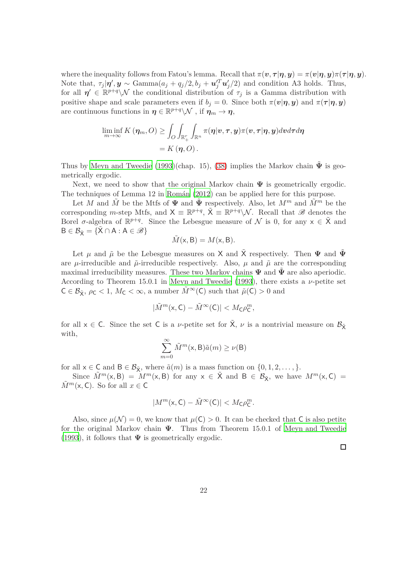where the inequality follows from Fatou's lemma. Recall that  $\pi(\mathbf{v}, \tau | \eta, \mathbf{y}) = \pi(\mathbf{v} | \eta, \mathbf{y}) \pi(\tau | \eta, \mathbf{y}).$ Note that,  $\tau_j | \eta', \mathbf{y} \sim \text{Gamma}(a_j + q_j/2, b_j + \mathbf{u}'_j^T \mathbf{u}'_j/2)$  and condition A3 holds. Thus, for all  $\eta' \in \mathbb{R}^{p+q}\setminus\mathcal{N}$  the conditional distribution of  $\tau_j$  is a Gamma distribution with positive shape and scale parameters even if  $b_j = 0$ . Since both  $\pi(v|\eta, y)$  and  $\pi(\tau|\eta, y)$ are continuous functions in  $\eta \in \mathbb{R}^{p+q} \backslash \mathcal{N}$  , if  $\eta_m \to \eta$ ,

$$
\liminf_{m\to\infty} K(\eta_m, O) \ge \int_O \int_{\mathbb{R}_+^r} \int_{\mathbb{R}^n} \pi(\eta | v, \tau, y) \pi(v, \tau | \eta, y) dv d\tau d\eta
$$
  
=  $K(\eta, O).$ 

Thus by [Meyn and Tweedie \(1993](#page-26-2))(chap. 15), [\(38\)](#page-17-0) implies the Markov chain  $\tilde{\Psi}$  is geometrically ergodic.

Next, we need to show that the original Markov chain  $\Psi$  is geometrically ergodic. The techniques of Lemma 12 in Román  $(2012)$  can be applied here for this purpose.

Let *M* and  $\tilde{M}$  be the Mtfs of  $\Psi$  and  $\tilde{\Psi}$  respectively. Also, let  $M^m$  and  $\tilde{M}^m$  be the corresponding *m*-step Mtfs, and  $X \equiv \mathbb{R}^{p+q}$ ,  $\tilde{X} \equiv \mathbb{R}^{p+q} \setminus \mathcal{N}$ . Recall that B denotes the Borel  $\sigma$ -algebra of  $\mathbb{R}^{p+q}$ . Since the Lebesgue measure of N is 0, for any  $x \in \tilde{X}$  and  $B \in \mathcal{B}_{\tilde{X}} = {\tilde{X} \cap A : A \in \mathcal{B}}$ 

$$
\tilde{M}(\mathbf{x}, \mathbf{B}) = M(\mathbf{x}, \mathbf{B}).
$$

Let  $\mu$  and  $\tilde{\mu}$  be the Lebesgue measures on X and  $\tilde{\mathsf{X}}$  respectively. Then  $\Psi$  and  $\tilde{\Psi}$ are  $\mu$ -irreducible and  $\tilde{\mu}$ -irreducible respectively. Also,  $\mu$  and  $\tilde{\mu}$  are the corresponding maximal irreducibility measures. These two Markov chains  $\Psi$  and  $\Psi$  are also aperiodic. According to Theorem 15.0.1 in [Meyn and Tweedie \(1993](#page-26-2)), there exists a *ν*-petite set  $C \in \mathcal{B}_{\tilde{\mathsf{X}}}$ ,  $\rho_{\mathsf{C}} < 1$ ,  $M_{\mathsf{C}} < \infty$ , a number  $\tilde{M}^{\infty}(\mathsf{C})$  such that  $\tilde{\mu}(\mathsf{C}) > 0$  and

$$
|\tilde{M}^m(\mathsf{x},\mathsf{C})-\tilde{M}^{\infty}(\mathsf{C})|
$$

for all  $x \in C$ . Since the set C is a *v*-petite set for  $\tilde{X}$ , *v* is a nontrivial measure on  $\mathcal{B}_{\tilde{X}}$ with,

$$
\sum_{m=0}^{\infty} \tilde{M}^m(\mathbf{x}, \mathbf{B}) \tilde{a}(m) \ge \nu(\mathbf{B})
$$

for all  $x \in C$  and  $B \in \mathcal{B}_{\tilde{\mathbf{x}}}$ , where  $\tilde{a}(m)$  is a mass function on  $\{0, 1, 2, \ldots\}$ .

Since  $\tilde{M}^m(\mathsf{x},\mathsf{B}) = M^m(\mathsf{x},\mathsf{B})$  for any  $\mathsf{x} \in \tilde{\mathsf{X}}$  and  $\mathsf{B} \in \mathcal{B}_{\tilde{\mathsf{X}}}$ , we have  $M^m(\mathsf{x},\mathsf{C}) =$  $\tilde{M}^m(\mathsf{x}, \mathsf{C})$ . So for all  $x \in \mathsf{C}$ 

$$
|M^m(\mathbf{x}, \mathbf{C}) - \tilde{M}^{\infty}(\mathbf{C})| < M_{\mathbf{C}} \rho_{\mathbf{C}}^m.
$$

Also, since  $\mu(\mathcal{N}) = 0$ , we know that  $\mu(\mathsf{C}) > 0$ . It can be checked that C is also petite for the original Markov chain  $\Psi$ . Thus from Theorem 15.0.1 of [Meyn and Tweedie](#page-26-2) [\(1993](#page-26-2)), it follows that  $\Psi$  is geometrically ergodic.

 $\Box$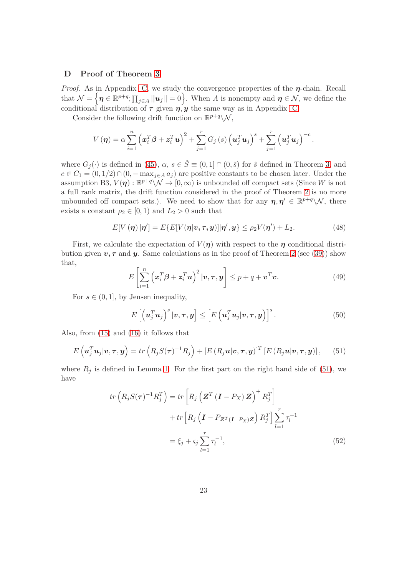#### <span id="page-22-0"></span>**D Proof of Theorem [3](#page-8-2)**

*Proof.* As in Appendix [C,](#page-16-0) we study the convergence properties of the  $\eta$ -chain. Recall that  $\mathcal{N} = \left\{ \boldsymbol{\eta} \in \mathbb{R}^{p+q}; \prod_{j \in A} ||\boldsymbol{u}_j|| = 0 \right\}$ . When *A* is nonempty and  $\boldsymbol{\eta} \in \mathcal{N}$ , we define the conditional distribution of  $\tau$  given  $\eta, \gamma$  the same way as in Appendix [C.](#page-16-0)

Consider the following drift function on  $\mathbb{R}^{p+q}\setminus\mathcal{N}$ ,

$$
V(\boldsymbol{\eta}) = \alpha \sum_{i=1}^{n} \left( \boldsymbol{x}_i^T \boldsymbol{\beta} + \boldsymbol{z}_i^T \boldsymbol{u} \right)^2 + \sum_{j=1}^{r} G_j \left( s \right) \left( \boldsymbol{u}_j^T \boldsymbol{u}_j \right)^s + \sum_{j=1}^{r} \left( \boldsymbol{u}_j^T \boldsymbol{u}_j \right)^{-c}.
$$

where  $G_i(\cdot)$  is defined in [\(45\)](#page-19-2),  $\alpha, s \in \tilde{S} \equiv (0,1] \cap (0,\tilde{s})$  for  $\tilde{s}$  defined in Theorem [3,](#page-8-2) and  $c \in C_1 = (0, 1/2) \cap (0, -\max_{j \in A} a_j)$  are positive constants to be chosen later. Under the assumption B3,  $V(\eta) : \mathbb{R}^{p+q} \setminus \mathcal{N} \to [0, \infty)$  is unbounded off compact sets (Since *W* is not a full rank matrix, the drift function considered in the proof of Theorem [2](#page-8-1) is no more unbounded off compact sets.). We need to show that for any  $\eta, \eta' \in \mathbb{R}^{p+q} \setminus \mathcal{N}$ , there exists a constant  $\rho_2 \in [0,1)$  and  $L_2 > 0$  such that

<span id="page-22-5"></span>
$$
E[V(\boldsymbol{\eta})|\boldsymbol{\eta}'] = E\{E[V(\boldsymbol{\eta}|\boldsymbol{v},\boldsymbol{\tau},\boldsymbol{y})]|\boldsymbol{\eta}',\boldsymbol{y}\} \leq \rho_2 V(\boldsymbol{\eta}') + L_2.
$$
 (48)

First, we calculate the expectation of  $V(\eta)$  with respect to the  $\eta$  conditional distribution given  $v, \tau$  and  $y$ . Same calculations as in the proof of Theorem [2](#page-8-1) (see [\(39\)](#page-18-0)) show that,

<span id="page-22-3"></span>
$$
E\left[\sum_{i=1}^{n} \left(\boldsymbol{x}_i^T \boldsymbol{\beta} + \boldsymbol{z}_i^T \boldsymbol{u}\right)^2 | \boldsymbol{v}, \boldsymbol{\tau}, \boldsymbol{y}\right] \leq p + q + \boldsymbol{v}^T \boldsymbol{v}.
$$
 (49)

For  $s \in (0, 1]$ , by Jensen inequality,

<span id="page-22-4"></span>
$$
E\left[\left(\mathbf{u}_j^T\mathbf{u}_j\right)^s|\mathbf{v},\boldsymbol{\tau},\mathbf{y}\right] \leq \left[E\left(\mathbf{u}_j^T\mathbf{u}_j|\mathbf{v},\boldsymbol{\tau},\mathbf{y}\right)\right]^s.
$$
 (50)

Also, from [\(15\)](#page-6-3) and [\(16\)](#page-6-2) it follows that

<span id="page-22-1"></span>
$$
E\left(\mathbf{u}_{j}^{T}\mathbf{u}_{j}|\mathbf{v},\boldsymbol{\tau},\mathbf{y}\right)=tr\left(R_{j}S(\boldsymbol{\tau})^{-1}R_{j}\right)+\left[E\left(R_{j}\mathbf{u}|\mathbf{v},\boldsymbol{\tau},\mathbf{y}\right)\right]^{T}\left[E\left(R_{j}\mathbf{u}|\mathbf{v},\boldsymbol{\tau},\mathbf{y}\right)\right],\qquad(51)
$$

where  $R_j$  is defined in Lemma [1.](#page-15-3) For the first part on the right hand side of [\(51\)](#page-22-1), we have

<span id="page-22-2"></span>
$$
tr\left(R_j S(\tau)^{-1} R_j^T\right) = tr\left[R_j \left(\mathbf{Z}^T \left(\mathbf{I} - P_X\right) \mathbf{Z}\right)^+ R_j^T\right] \\
+ tr\left[R_j \left(\mathbf{I} - P_{\mathbf{Z}^T \left(\mathbf{I} - P_X\right) \mathbf{Z}}\right) R_j^T\right] \sum_{l=1}^r \tau_l^{-1} \\
= \xi_j + \varsigma_j \sum_{l=1}^r \tau_l^{-1},
$$
\n(52)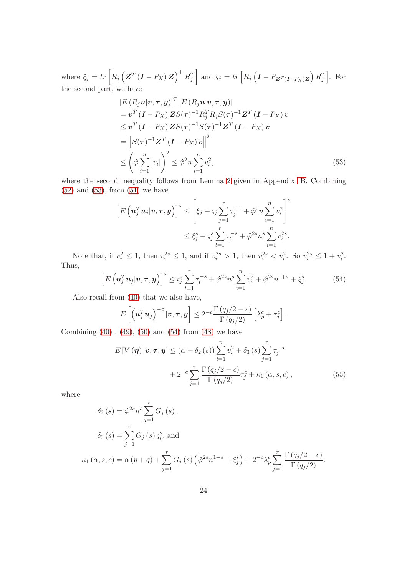where  $\xi_j = tr \left[ R_j \left( \boldsymbol{Z}^T \left( \boldsymbol{I} - P_X \right) \boldsymbol{Z} \right)^+ R_j^T \right]$ and  $\varsigma_j = tr \left[ R_j \left( I - P_{\boldsymbol{Z}^T(\boldsymbol{I} - P_X) \boldsymbol{Z}} \right) R_j^T \right]$ . For the second part, we have

$$
[E (R_j \mathbf{u} | \mathbf{v}, \boldsymbol{\tau}, \mathbf{y})]^T [E (R_j \mathbf{u} | \mathbf{v}, \boldsymbol{\tau}, \mathbf{y})]
$$
  
\n
$$
= \mathbf{v}^T (\mathbf{I} - P_X) \mathbf{Z} S(\boldsymbol{\tau})^{-1} R_j^T R_j S(\boldsymbol{\tau})^{-1} \mathbf{Z}^T (\mathbf{I} - P_X) \mathbf{v}
$$
  
\n
$$
\leq \mathbf{v}^T (\mathbf{I} - P_X) \mathbf{Z} S(\boldsymbol{\tau})^{-1} S(\boldsymbol{\tau})^{-1} \mathbf{Z}^T (\mathbf{I} - P_X) \mathbf{v}
$$
  
\n
$$
= ||S(\boldsymbol{\tau})^{-1} \mathbf{Z}^T (\mathbf{I} - P_X) \mathbf{v}||^2
$$
  
\n
$$
\leq \left(\hat{\varphi} \sum_{i=1}^n |v_i|\right)^2 \leq \hat{\varphi}^2 n \sum_{i=1}^n v_i^2,
$$
 (53)

where the second inequality follows from Lemma [2](#page-15-4) given in Appendix [B.](#page-15-5) Combining  $(52)$  and  $(53)$ , from  $(51)$  we have

<span id="page-23-0"></span>
$$
\[E\left(\mathbf{u}_{j}^{T}\mathbf{u}_{j}|\mathbf{v}, \boldsymbol{\tau}, \mathbf{y}\right)\]^{s} \leq \left[\xi_{j} + \zeta_{j} \sum_{j=1}^{r} \tau_{j}^{-1} + \hat{\varphi}^{2} n \sum_{i=1}^{n} v_{i}^{2}\right]^{s}
$$

$$
\leq \xi_{j}^{s} + \zeta_{j}^{s} \sum_{l=1}^{r} \tau_{l}^{-s} + \hat{\varphi}^{2s} n^{s} \sum_{i=1}^{n} v_{i}^{2s}.
$$

Note that, if  $v_i^2 \le 1$ , then  $v_i^{2s} \le 1$ , and if  $v_i^{2s} > 1$ , then  $v_i^{2s} < v_i^2$ . So  $v_i^{2s} \le 1 + v_i^2$ . Thus,

<span id="page-23-1"></span>
$$
\left[E\left(\mathbf{u}_{j}^{T}\mathbf{u}_{j}|\mathbf{v},\boldsymbol{\tau},\mathbf{y}\right)\right]^{s} \leq \varsigma_{j}^{s} \sum_{l=1}^{r} \tau_{l}^{-s} + \hat{\varphi}^{2s} n^{s} \sum_{i=1}^{n} v_{i}^{2} + \hat{\varphi}^{2s} n^{1+s} + \xi_{j}^{s}.
$$
 (54)

Also recall from [\(40\)](#page-18-1) that we also have,

$$
E\left[\left(\mathbf{u}_j^T\mathbf{u}_j\right)^{-c}|\mathbf{v},\boldsymbol{\tau},\mathbf{y}\right] \leq 2^{-c}\frac{\Gamma\left(q_j/2-c\right)}{\Gamma\left(q_j/2\right)}\left[\lambda_p^c+\tau_j^c\right].
$$

Combining  $(40)$ ,  $(49)$ ,  $(50)$  and  $(54)$  from  $(48)$  we have

<span id="page-23-2"></span>
$$
E[V(\eta) | \nu, \tau, y] \le (\alpha + \delta_2(s)) \sum_{i=1}^n v_i^2 + \delta_3(s) \sum_{j=1}^r \tau_j^{-s}
$$
  
+ 
$$
2^{-c} \sum_{j=1}^r \frac{\Gamma(q_j/2 - c)}{\Gamma(q_j/2)} \tau_j^c + \kappa_1(\alpha, s, c),
$$
 (55)

where

$$
\delta_2(s) = \hat{\varphi}^{2s} n^s \sum_{j=1}^r G_j(s),
$$
  
\n
$$
\delta_3(s) = \sum_{j=1}^r G_j(s) \zeta_j^s, \text{ and}
$$
  
\n
$$
\kappa_1(\alpha, s, c) = \alpha(p+q) + \sum_{j=1}^r G_j(s) \left(\hat{\varphi}^{2s} n^{1+s} + \xi_j^s\right) + 2^{-c} \lambda_p^c \sum_{j=1}^r \frac{\Gamma(q_j/2 - c)}{\Gamma(q_j/2)}.
$$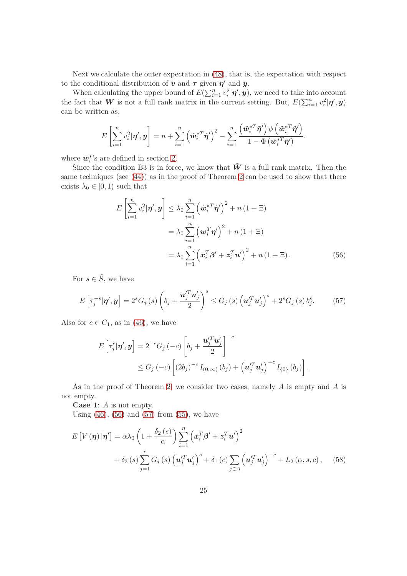Next we calculate the outer expectation in [\(48\)](#page-22-5), that is, the expectation with respect to the conditional distribution of  $v$  and  $\tau$  given  $\eta'$  and  $y$ .

When calculating the upper bound of  $E(\sum_{i=1}^{n} v_i^2 | \boldsymbol{\eta}', \boldsymbol{y})$ , we need to take into account the fact that W is not a full rank matrix in the current setting. But,  $E(\sum_{i=1}^{n} v_i^2 | \boldsymbol{\eta}', \boldsymbol{y})$ can be written as,

$$
E\left[\sum_{i=1}^n v_i^2 | \boldsymbol{\eta}', \boldsymbol{y}\right] = n + \sum_{i=1}^n \left(\tilde{\boldsymbol{w}}_i^{*T} \tilde{\boldsymbol{\eta}}'\right)^2 - \sum_{i=1}^n \frac{\left(\tilde{\boldsymbol{w}}_i^{*T} \tilde{\boldsymbol{\eta}}'\right) \phi\left(\tilde{\boldsymbol{w}}_i^{*T} \tilde{\boldsymbol{\eta}}'\right)}{1 - \Phi\left(\tilde{\boldsymbol{w}}_i^{*T} \tilde{\boldsymbol{\eta}}'\right)}.
$$

where  $\tilde{w}_i^*$ 's are defined in section [2.](#page-3-0)

Since the condition B3 is in force, we know that  $\tilde{W}$  is a full rank matrix. Then the same techniques (see [\(44\)](#page-19-0)) as in the proof of Theorem [2](#page-8-1) can be used to show that there exists  $\lambda_0 \in [0, 1)$  such that

<span id="page-24-0"></span>
$$
E\left[\sum_{i=1}^{n} v_i^2 | \boldsymbol{\eta}', \boldsymbol{y}\right] \leq \lambda_0 \sum_{i=1}^{n} \left(\tilde{\boldsymbol{w}}_i^{*T} \tilde{\boldsymbol{\eta}}'\right)^2 + n(1+\Xi)
$$
  

$$
= \lambda_0 \sum_{i=1}^{n} \left(\boldsymbol{w}_i^T \boldsymbol{\eta}'\right)^2 + n(1+\Xi)
$$
  

$$
= \lambda_0 \sum_{i=1}^{n} \left(\boldsymbol{x}_i^T \boldsymbol{\beta}' + \boldsymbol{z}_i^T \boldsymbol{u}'\right)^2 + n(1+\Xi).
$$
 (56)

For  $s \in \tilde{S}$ , we have

<span id="page-24-1"></span>
$$
E\left[\tau_j^{-s}|\boldsymbol{\eta}',\boldsymbol{y}\right] = 2^s G_j\left(s\right) \left(b_j + \frac{\boldsymbol{u}_j'^T \boldsymbol{u}_j'}{2}\right)^s \le G_j\left(s\right) \left(\boldsymbol{u}_j'^T \boldsymbol{u}_j'\right)^s + 2^s G_j\left(s\right) b_j^s. \tag{57}
$$

Also for  $c \in C_1$ , as in [\(46\)](#page-19-1), we have

$$
E\left[\tau_j^c|\boldsymbol{\eta}',\boldsymbol{y}\right] = 2^{-c}G_j\left(-c\right)\left[b_j + \frac{\boldsymbol{u}_j'^T\boldsymbol{u}_j'}{2}\right]^{-c}
$$
  
 
$$
\leq G_j\left(-c\right)\left[\left(2b_j\right)^{-c}I_{(0,\infty)}\left(b_j\right) + \left(\boldsymbol{u}_j'^T\boldsymbol{u}_j'\right)^{-c}I_{\{0\}}\left(b_j\right)\right].
$$

As in the proof of Theorem [2,](#page-8-1) we consider two cases, namely *A* is empty and *A* is not empty.

**Case 1**: *A* is not empty.

Using  $(46)$ ,  $(56)$  and  $(57)$  from  $(55)$ , we have

$$
E\left[V\left(\boldsymbol{\eta}\right)|\boldsymbol{\eta}'\right] = \alpha\lambda_0 \left(1 + \frac{\delta_2\left(s\right)}{\alpha}\right) \sum_{i=1}^n \left(\boldsymbol{x}_i^T \boldsymbol{\beta}' + \boldsymbol{z}_i^T \boldsymbol{u}'\right)^2 + \delta_3\left(s\right) \sum_{j=1}^r G_j\left(s\right) \left(\boldsymbol{u}_j^T \boldsymbol{u}_j'\right)^s + \delta_1\left(c\right) \sum_{j \in A} \left(\boldsymbol{u}_j^T \boldsymbol{u}_j'\right)^{-c} + L_2\left(\alpha, s, c\right), \quad (58)
$$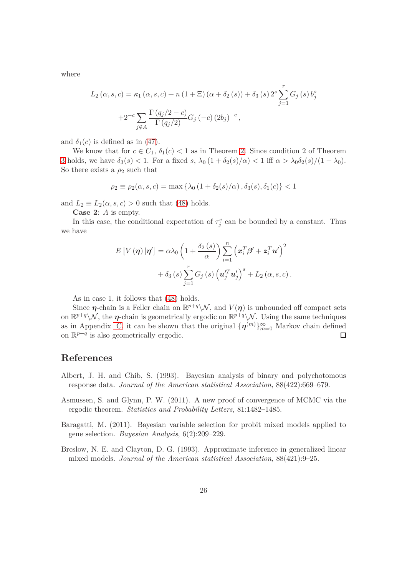where

$$
L_2(\alpha, s, c) = \kappa_1(\alpha, s, c) + n(1 + \Xi)(\alpha + \delta_2(s)) + \delta_3(s) 2^s \sum_{j=1}^r G_j(s) b_j^s
$$
  
+2<sup>-c</sup>
$$
\sum_{j \notin A} \frac{\Gamma(q_j/2 - c)}{\Gamma(q_j/2)} G_j(-c) (2b_j)^{-c},
$$

and  $\delta_1(c)$  is defined as in [\(47\)](#page-20-0).

We know that for  $c \in C_1$ ,  $\delta_1(c) < 1$  as in Theorem [2.](#page-8-1) Since condition 2 of Theorem [3](#page-8-2) holds, we have  $\delta_3(s) < 1$ . For a fixed *s*,  $\lambda_0(1 + \delta_2(s)/\alpha) < 1$  iff  $\alpha > \lambda_0\delta_2(s)/(1 - \lambda_0)$ . So there exists a  $\rho_2$  such that

$$
\rho_2 \equiv \rho_2(\alpha, s, c) = \max \{ \lambda_0 \left( 1 + \delta_2(s) / \alpha \right), \delta_3(s), \delta_1(c) \} < 1
$$

and  $L_2 \equiv L_2(\alpha, s, c) > 0$  such that [\(48\)](#page-22-5) holds.

**Case 2**: *A* is empty.

In this case, the conditional expectation of  $\tau_j^c$  can be bounded by a constant. Thus we have

$$
E[V(\boldsymbol{\eta})|\boldsymbol{\eta}'] = \alpha \lambda_0 \left(1 + \frac{\delta_2(s)}{\alpha}\right) \sum_{i=1}^n \left(x_i^T \beta' + z_i^T u'\right)^2
$$

$$
+ \delta_3(s) \sum_{j=1}^r G_j(s) \left(u_j^T u'_j\right)^s + L_2(\alpha, s, c).
$$

As in case 1, it follows that [\(48\)](#page-22-5) holds.

Since  $\eta$ -chain is a Feller chain on  $\mathbb{R}^{p+q}\setminus\mathcal{N}$ , and  $V(\eta)$  is unbounded off compact sets on  $\mathbb{R}^{p+q}\setminus\mathcal{N}$ , the  $\eta$ -chain is geometrically ergodic on  $\mathbb{R}^{p+q}\setminus\mathcal{N}$ . Using the same techniques as in Appendix [C,](#page-16-0) it can be shown that the original  $\{\boldsymbol{\eta}^{(m)}\}_{m=0}^{\infty}$  Markov chain defined on  $\mathbb{R}^{p+q}$  is also geometrically ergodic.  $\Box$ 

# **References**

- <span id="page-25-1"></span>Albert, J. H. and Chib, S. (1993). Bayesian analysis of binary and polychotomous response data. *Journal of the American statistical Association*, 88(422):669–679.
- <span id="page-25-3"></span>Asmussen, S. and Glynn, P. W. (2011). A new proof of convergence of MCMC via the ergodic theorem. *Statistics and Probability Letters*, 81:1482–1485.
- <span id="page-25-2"></span>Baragatti, M. (2011). Bayesian variable selection for probit mixed models applied to gene selection. *Bayesian Analysis*, 6(2):209–229.
- <span id="page-25-0"></span>Breslow, N. E. and Clayton, D. G. (1993). Approximate inference in generalized linear mixed models. *Journal of the American statistical Association*, 88(421):9–25.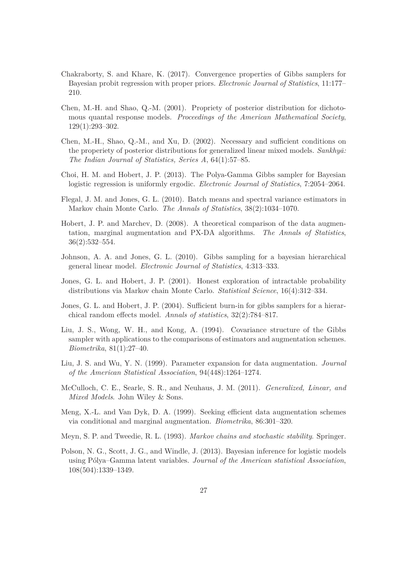- <span id="page-26-5"></span>Chakraborty, S. and Khare, K. (2017). Convergence properties of Gibbs samplers for Bayesian probit regression with proper priors. *Electronic Journal of Statistics*, 11:177– 210.
- <span id="page-26-14"></span>Chen, M.-H. and Shao, Q.-M. (2001). Propriety of posterior distribution for dichotomous quantal response models. *Proceedings of the American Mathematical Society*, 129(1):293–302.
- <span id="page-26-11"></span>Chen, M.-H., Shao, Q.-M., and Xu, D. (2002). Necessary and sufficient conditions on the properiety of posterior distributions for generalized linear mixed models. *Sankhya*: *The Indian Journal of Statistics, Series A*, 64(1):57–85.
- <span id="page-26-13"></span>Choi, H. M. and Hobert, J. P. (2013). The Polya-Gamma Gibbs sampler for Bayesian logistic regression is uniformly ergodic. *Electronic Journal of Statistics*, 7:2054–2064.
- <span id="page-26-4"></span>Flegal, J. M. and Jones, G. L. (2010). Batch means and spectral variance estimators in Markov chain Monte Carlo. *The Annals of Statistics*, 38(2):1034–1070.
- <span id="page-26-10"></span>Hobert, J. P. and Marchev, D. (2008). A theoretical comparison of the data augmentation, marginal augmentation and PX-DA algorithms. *The Annals of Statistics*, 36(2):532–554.
- <span id="page-26-7"></span>Johnson, A. A. and Jones, G. L. (2010). Gibbs sampling for a bayesian hierarchical general linear model. *Electronic Journal of Statistics*, 4:313–333.
- <span id="page-26-3"></span>Jones, G. L. and Hobert, J. P. (2001). Honest exploration of intractable probability distributions via Markov chain Monte Carlo. *Statistical Science*, 16(4):312–334.
- <span id="page-26-6"></span>Jones, G. L. and Hobert, J. P. (2004). Sufficient burn-in for gibbs samplers for a hierarchical random effects model. *Annals of statistics*, 32(2):784–817.
- <span id="page-26-1"></span>Liu, J. S., Wong, W. H., and Kong, A. (1994). Covariance structure of the Gibbs sampler with applications to the comparisons of estimators and augmentation schemes. *Biometrika*, 81(1):27–40.
- <span id="page-26-9"></span>Liu, J. S. and Wu, Y. N. (1999). Parameter expansion for data augmentation. *Journal of the American Statistical Association*, 94(448):1264–1274.
- <span id="page-26-0"></span>McCulloch, C. E., Searle, S. R., and Neuhaus, J. M. (2011). *Generalized, Linear, and Mixed Models*. John Wiley & Sons.
- <span id="page-26-8"></span>Meng, X.-L. and Van Dyk, D. A. (1999). Seeking efficient data augmentation schemes via conditional and marginal augmentation. *Biometrika*, 86:301–320.
- <span id="page-26-2"></span>Meyn, S. P. and Tweedie, R. L. (1993). *Markov chains and stochastic stability*. Springer.
- <span id="page-26-12"></span>Polson, N. G., Scott, J. G., and Windle, J. (2013). Bayesian inference for logistic models using P´olya–Gamma latent variables. *Journal of the American statistical Association*, 108(504):1339–1349.